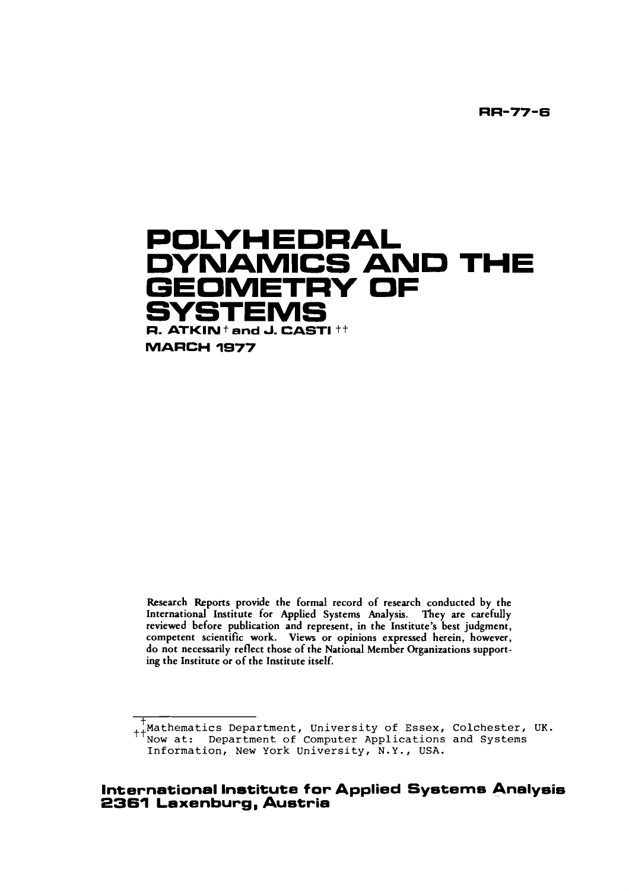**RR-77-6** 



Research Reports provide the formal record of research conducted by the International Institute for Applied Systems Andysis. They are carefully reviewed before publication and represent, in the Institute's best judgment, competent scientific work. Views or opinions expressed herein, however, do not necessarily reflect those of the National Member Organizations supporting the Institute or of the Institute itself.

t<br><sub>++</sub>Mathematics Department, University of Essex, Colchester, UK. **Now at: Department of Computer Applications and Systems Information, New York University, N.Y., USA.** 

# **International Institute for Applied Systems Analysis 2361 Laxenburg, Austria**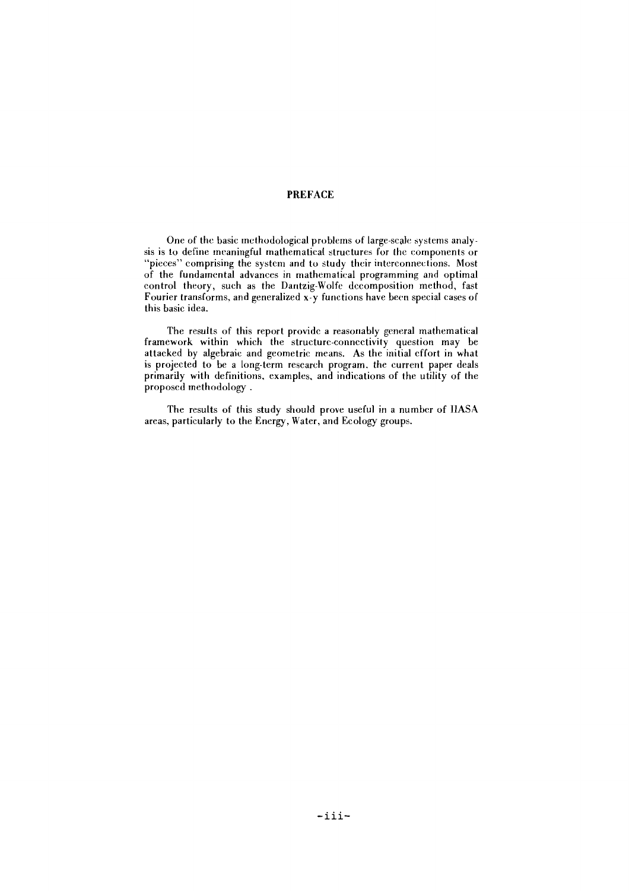# PREFACE

One of the basic methodological problems of large-scale systems analysis is to define meaningful mathematical structures for the components or "pieces" comprising the system and to study their interconnections. Most of the fundamental advances in mathematical programming and optimal control theory, such as the Dantzig-Wolfe decomposition method, fast Fourier transforms, and generalized x-y functions have been specid cases of this basic idea.

The results of this report provide a reasonably general mathematical framework within which the structurc-conncctivity question may be attacked by algebraic and geometric means. As the initial cffort in what is projected to be a long-term rescarch program. the current paper deals primarily with definitions. examples. and indications of the utility of the proposcd methodology .

The results of this study should prove useful in a number of IIASA areas. particularly to the Energy, Water, and Ecology groups.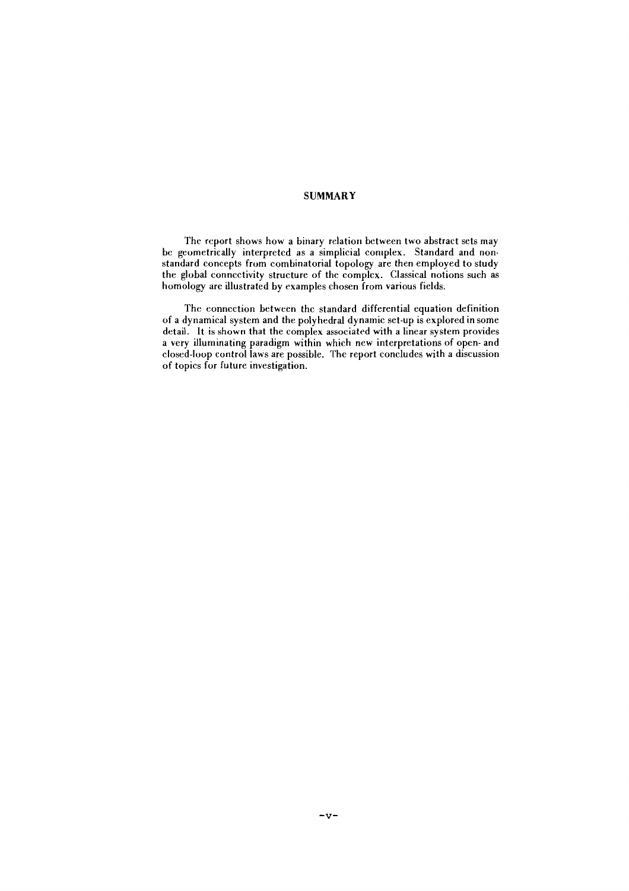#### **SUMMARY**

The report shows how a binary relation between two abstract sets may be geometrically interpreted as a simplicial complex. Standard and nonstandard concepts from combinatorial topology are then employed to study the global connectivity structure of the complcx. Classical notions such as homology are illustrated by examples chosen from various fields.

The eonncction between thc standard differential equation definition of a dynamical system and the polyhedral dynamic set-up is explored in some detail. It is shown that the complex associated with a linear system provides a very illuminating paradigm within which new interpretations of open- and closed-loop control laws are possible. The report concludes with a discussion of topics for future investigation.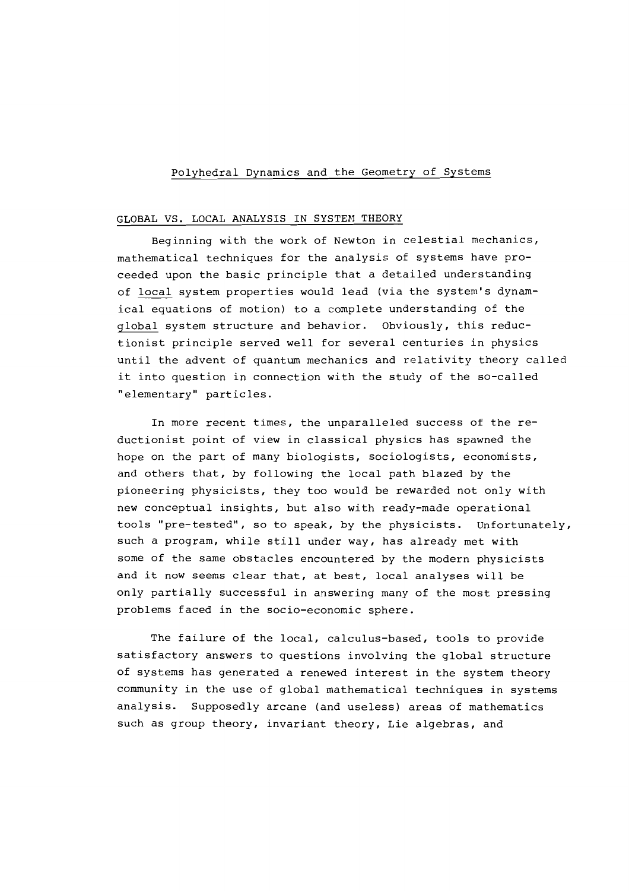# Polyhedral Dynamics and the Geometry of Systems

# GLOBAL VS. LOCAL ANALYSIS IN SYSTEM THEORY

Beginning with the work of Newton in celestial mechanics, mathematical techniques for the analysis of systems have proceeded upon the basic principle that a detailed understanding of local system properties would lead (via the system's dynamical equations of motion) to a complete understanding of the global system structure and behavior. Obviously, this reductionist principle served well for several centuries in physics until the advent of quantum mechanics and relativity theory called it into question in connection with the study of the so-called "elementary" particles.

In more recent times, the unparalleled success of the reductionist point of view in classical physics has spawned the hope on the part of many biologists, sociologists, economists, and others that, by following the local path blazed by the pioneering physicists, they too would be rewarded not only with new conceptual insights, but also with ready-made operational tools "pre-tested", so to speak, by the physicists. Unfortunately, such a program, while still under way, has already met with some of the same obstacles encountered by the modern physicists and it now seems clear that, at best, local analyses will be only partially successful in answering many of the most pressing problems faced in the socio-economic sphere.

The failure of the local, calculus-based, tools to provide satisfactory answers to questions involving the global structure of systems has generated a renewed interest in the system theory community in the use of global mathematical techniques in systems analysis. Supposedly arcane (and useless) areas of mathematics such as group theory, invariant theory, Lie algebras, and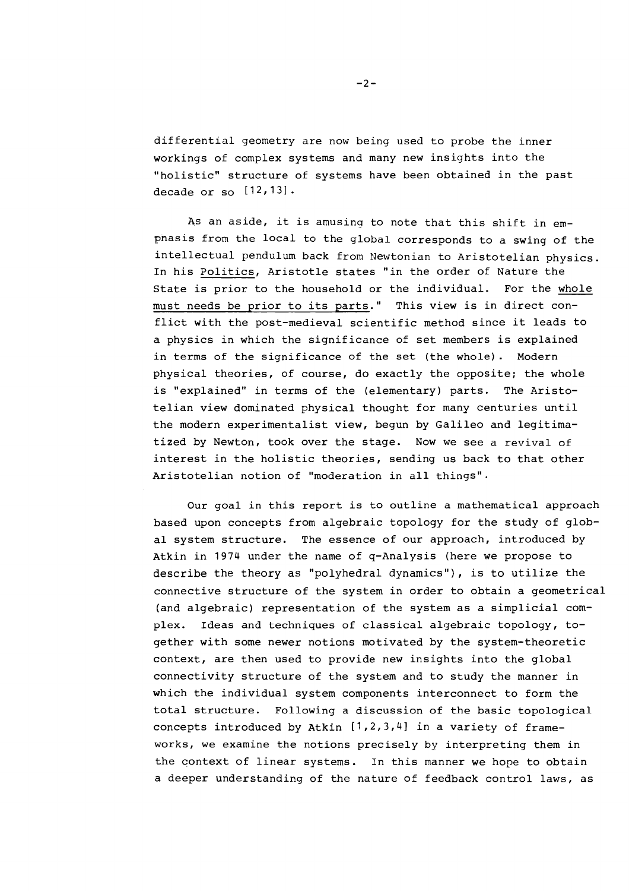differential geometry are now being used to probe the inner workings of complex systems and many new insights into the "holistic" structure of systems have been obtained in the past decade or so  $[12, 13]$ .

As an aside, it is amusing to note that this shift in empnasis from the local to the global corresponds to a swing of the intellectual pendulum back from Newtonian to Aristotelian physics. In his Politics, Aristotle states "in the order of Nature the State is prior to the household or the individual. For the whole must needs be prior to its parts." This view is in direct conflict with the post-medieval scientific method since it leads to a physics in which the significance of set members is explained in terms of the significance of the set (the whole). Modern physical theories, of course, do exactly the opposite; the whole is "explained" in terms of the (elementary) parts. The Aristotelian view dominated physical thought for many centuries until the modern experimentalist view, begun by Galileo and legitimatized by Newton, took over the stage. Now we see a revival of interest in the holistic theories, sending us back to that other Aristotelian notion of "moderation in all things".

Our goal in this report is to outline a mathematical approach based upon concepts from algebraic topology for the study of global system structure. The essence of our approach, introduced by Atkin in 1974 under the name of q-Analysis (here we propose to describe the theory as "polyhedral dynamics"), is to utilize the connective structure of the system in order to obtain a geometrical (and algebraic) representation of the system as a simplicia1 complex. Ideas and techniques of classical algebraic topology, together with some newer notions motivated by the system-theoretic context, are then used to provide new insights into the global connectivity structure of the system and to study the manner in which the individual system components interconnect to form the total structure. Following a discussion of the basic topological concepts introduced by Atkin [1,2,3,41 in a variety of frameworks, we examine the notions precisely by interpreting them in the context of linear systems. In this manner we hope to obtain a deeper understanding of the nature of feedback control laws, as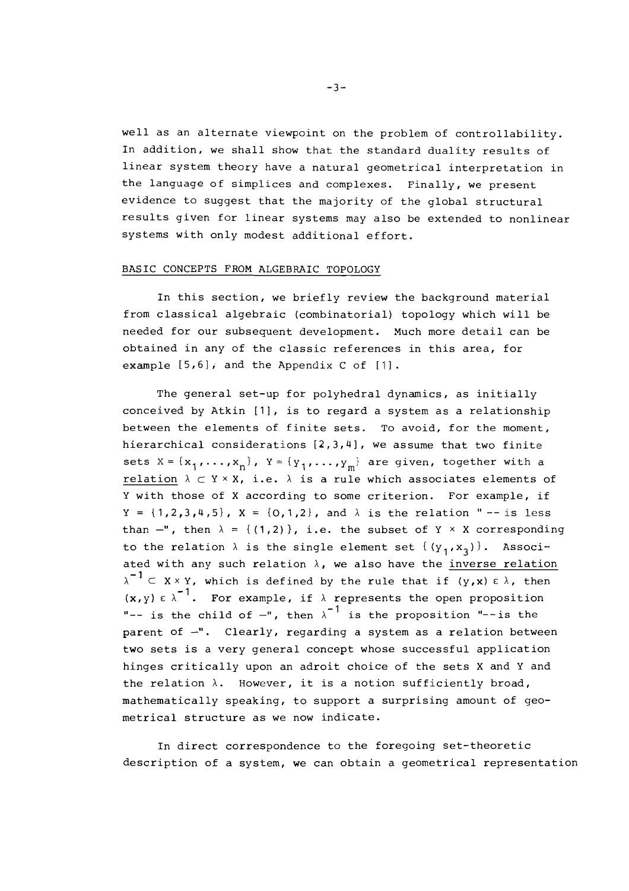well as an alternate viewpoint on the problem of controllability. In addition, we shall show that the standard duality results of linear system theory have a natural geometrical interpretation in the language of simplices and complexes. Finally, we present evidence to suggest that the majority of the global structural results given for linear systems may also be extended to nonlinear systems with only modest additional effort.

# BASIC CONCEPTS FROM ALGEBRAIC TOPOLOGY

In this section, we briefly review the background material from classical algebraic (combinatorial) topology which will be needed for our subsequent development. Much more detail can be obtained in any of the classic references in this area, for example  $[5,6]$ , and the Appendix C of  $[1]$ .

The general set-up for polyhedral dynamics, as initially conceived by Atkin [I], is to regard a system as a relationship between the elements of finite sets. To avoid, for the moment, hierarchical considerations [2,3,4], we assume that two finite sets  $X = {x_1, \ldots, x_n}$ ,  $Y = {y_1, \ldots, y_m}$  are given, together with a relation  $\lambda \subset Y \times X$ , i.e.  $\lambda$  is a rule which associates elements of Y with those of X according to some criterion. For example, if  $Y = \{1,2,3,4,5\}$ ,  $X = \{0,1,2\}$ , and  $\lambda$  is the relation " -- is less than  $-$ ", then  $\lambda = \{(1,2)\}\right)$ , i.e. the subset of Y  $\times$  X corresponding to the relation  $\lambda$  is the single element set  $\{(y_1, x_3)\}\$ . Associated with any such relation  $\lambda$ , we also have the inverse relation  $\lambda^{-1} \subset X \times Y$ , which is defined by the rule that if  $(y, x) \in \lambda$ , then  $(x,y) \in \lambda^{-1}$ . For example, if  $\lambda$  represents the open proposition "-- is the child of  $-$ ", then  $\lambda^{-1}$  is the proposition "--is the parent of -". Clearly, regarding a system as a relation between two sets is a very general concept whose successful application hinges critically upon an adroit choice of the sets X and Y and the relation  $\lambda$ . However, it is a notion sufficiently broad, mathematically speaking, to support a surprising amount of geometrical structure as we now indicate.

In direct correspondence to the foregoing set-theoretic description of a system, we can obtain a geometrical representation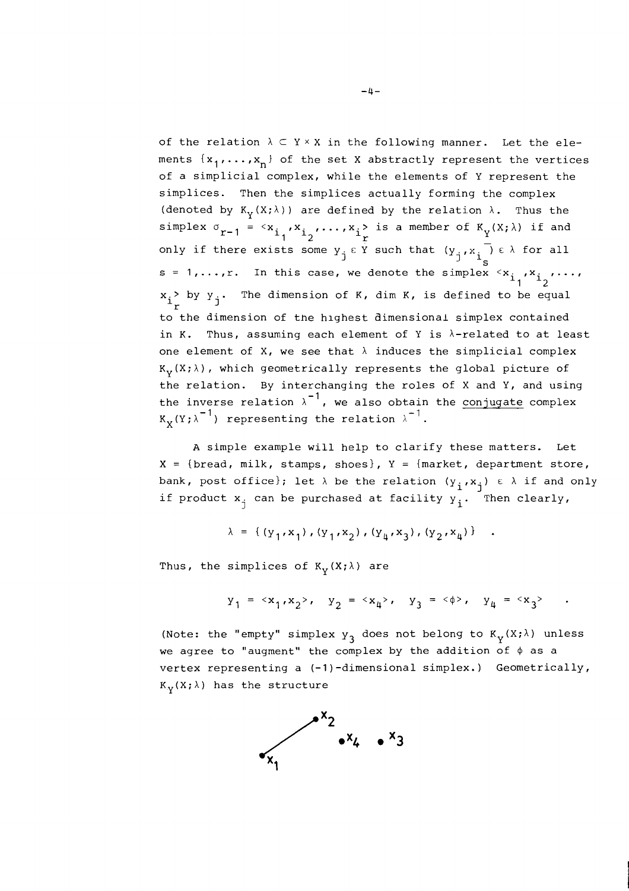of the relation  $\lambda \subset Y \times X$  in the following manner. Let the elements  $\{x_1, \ldots, x_n\}$  of the set X abstractly represent the vertices of a simplicial complex, while the elements of Y represent the simplices. Then the simplices actually forming the complex (denoted by  $K_v(X; \lambda)$ ) are defined by the relation  $\lambda$ . Thus the simplex  $\sigma_{r-1} = \begin{cases} x_1, x_2, ..., x_1 > 1 \ r \end{cases}$  is a member of  $K_Y(X; \lambda)$  if and only if there exists some  $y_{j}$   $\epsilon$  Y such that  $s = 1, \ldots, r$ . In this case, we denote the simplex  $\langle x_{i_1}, x_{i_2}, \ldots, x_{i_n} \rangle$  $x_i$ > by  $y_j$ . The dimension of K, dim K, is defined to be equal  $r$ to the dimension of the hlghest aimensional simplex contained in K. Thus, assuming each element of Y is  $\lambda$ -related to at least one element of X, we see that  $\lambda$  induces the simplicial complex  $K_{v}(X;\lambda)$ , which geometrically represents the global picture of the relation. By interchanging the roles of X and Y, and using the inverse relation  $\lambda^{-1}$ , we also obtain the conjugate complex  $K_v(Y; \lambda^{-1})$  representing the relation  $\lambda^{-1}$ .

**A** simple example will help to clarify these matters. Let  $X = \{break$ read, milk, stamps, shoes},  $Y = \{market, department store,$ bank, post office}; let  $\lambda$  be the relation  $(y_i, x_j) \in \lambda$  if and only if product  $x_{i}$  can be purchased at facility  $y_{i}$ . Then clearly,

$$
\lambda = \{ (y_1, x_1), (y_1, x_2), (y_h, x_3), (y_2, x_h) \}
$$

Thus, the simplices of  $K_v(X; \lambda)$  are

$$
y_1 = \langle x_1, x_2 \rangle
$$
,  $y_2 = \langle x_4 \rangle$ ,  $y_3 = \langle \phi \rangle$ ,  $y_4 = \langle x_3 \rangle$ .

(Note: the "empty" simplex  $y_3$  does not belong to  $K_y(X; \lambda)$  unless we agree to "augment" the complex by the addition of  $\phi$  as a vertex representing a (-1)-dimensional simplex.) Geometrically,  $K_{\mathbf{y}}(X;\lambda)$  has the structure

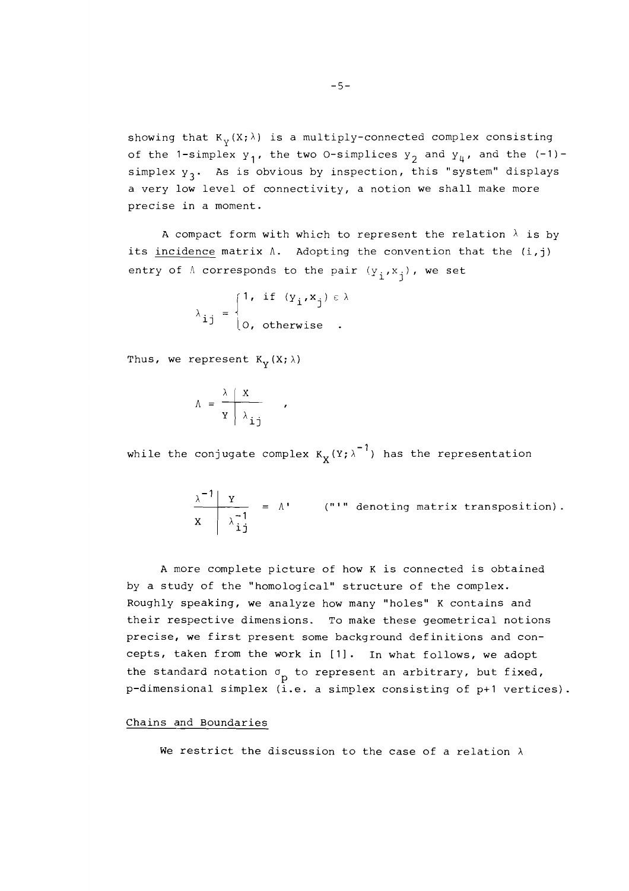showing that  $K_v(X; \lambda)$  is a multiply-connected complex consisting of the 1-simplex  $y_1$ , the two 0-simplices  $y_2$  and  $y_{\mu}$ , and the (-1)simplex  $y_3$ . As is obvious by inspection, this "system" displays a very low level of connectivity, a notion we shall make more precise in a moment.

A compact form with which to represent the relation  $\lambda$  is by its incidence matrix A. Adopting the convention that the **(i,j)**  entry of  $\Lambda$  corresponds to the pair  $(y_i, x_j)$ , we set  $\left\{ \begin{matrix} 1, & \text{if } (y_i, x_j) \in \lambda \end{matrix} \right\}$ 

$$
\lambda_{ij} = \begin{cases} 1, & \text{if } (y_i, x_j) \in \lambda \\ 0, & \text{otherwise} \end{cases}
$$

 $\mathbf{r}$ 

Thus, we represent  $K_v(X; \lambda)$ 

$$
\Lambda = \frac{\lambda \mid \mathbf{X}}{\mathbf{Y} \mid \lambda_{\mathbf{i}\mathbf{j}}}
$$

while the conjugate complex  $K_{\mathbf{Y}}(Y;\lambda^{-1})$  has the representation

$$
\frac{\lambda^{-1} | Y}{X | \lambda_{ij}^{-1}} = \Lambda' \qquad (""" denoting matrix transposition).
$$

**<sup>A</sup>**more complete picture of how K is connected is obtained by a study of the "homological" structure of the complex. Roughly speaking, we analyze how many "holes" K contains and their respective dimensions. To make these geometrical notions precise, we first present some background definitions and concepts, taken from the work in [1]. In what follows, we adopt the standard notation  $\sigma_{p}$  to represent an arbitrary, but fixed, p-dimensional simplex (i.e. a simplex consisting of p+l vertices).

# Chains and Boundaries

We restrict the discussion to the case of a relation  $\lambda$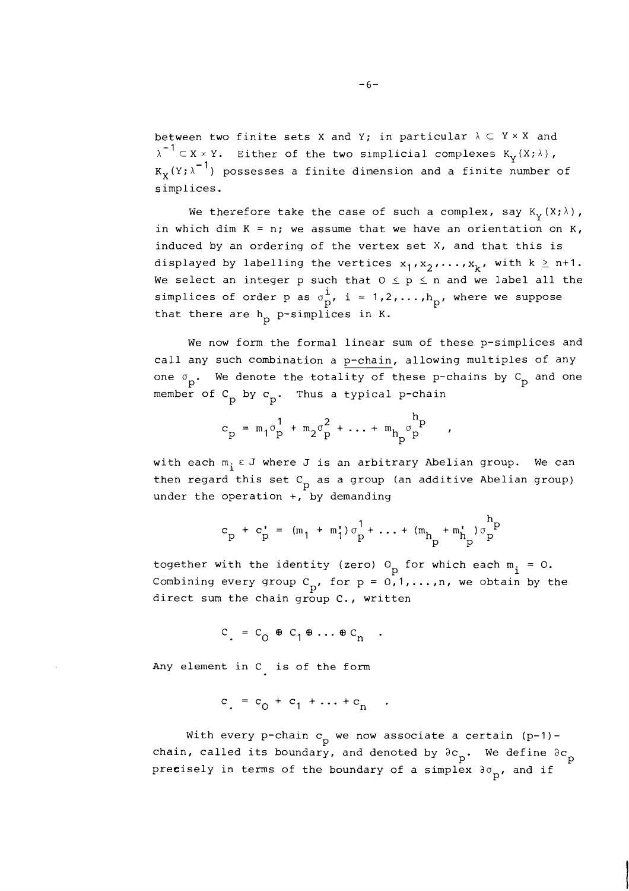between two finite sets X and Y; in particular  $\lambda \subset Y \times X$  and  $\lambda^{-1} \subset X \times Y$ . Either of the two simplicial complexes K<sub>y</sub>(X; $\lambda$ ),  $K_{\mathbf{v}}(Y; \lambda^{-1})$  possesses a finite dimension and a finite number of simplices.

We therefore take the case of such a complex, say  $K_y(X; \lambda)$ , in which dim  $K = n$ ; we assume that we have an orientation on  $K$ , induced by an ordering of the vertex set X, and that this is displayed by labelling the vertices  $x_1, x_2, \ldots, x_k$ , with  $k \geq n+1$ . We select an integer p such that  $0 \le p \le n$  and we label all the simplices of order p as  $\sigma_{\mathbf{p}}^{\mathbf{i}}$ , i = 1,2,..., $h_{\mathbf{p}}$ , where we suppose that there are  $h_p$  p-simplices in K.

We now form the formal linear sum of these p-simplices and call any such combination a p-chain, allowing multiples of any one  $\sigma_p$ . We denote the totality of these p-chains by  $C_p$  and one member of  $C_p$  by  $c_p$ . Thus a typical p-chain

$$
c_p = m_1 \sigma_p^1 + m_2 \sigma_p^2 + \ldots + m_{h_p} \sigma_p^{h_p}
$$

with each  $m_i \varepsilon J$  where J is an arbitrary Abelian group. We can then regard this set  $C_p$  as a group (an additive Abelian group) under the operation  $+$ , by demanding

$$
c_p + c_p' = (m_1 + m_1') \sigma_p^1 + ... + (m_{h_p} + m_{h_p}') \sigma_p^{h_p}
$$

together with the identity (zero)  $0_p$  for which each  $m_i = 0$ . Combining every group  $C_p$ , for  $p = 0,1,...,n$ , we obtain by the direct sum the chain group C., written

$$
c = c_0 \oplus c_1 \oplus \ldots \oplus c_n
$$

Any element in C is of the form

$$
c_{1} = c_{0} + c_{1} + \ldots + c_{n}
$$

With every p-chain  $c_p$  we now associate a certain (p-1)chain, called its boundary, and denoted by  $\partial c_{p}$ . We define  $\partial c_{p}$ pre $\mathtt{e}$ isely in terms of the boundary of a simplex  $\mathfrak{d} \sigma_{\rm p}^{\phantom{\dag}}$ , and if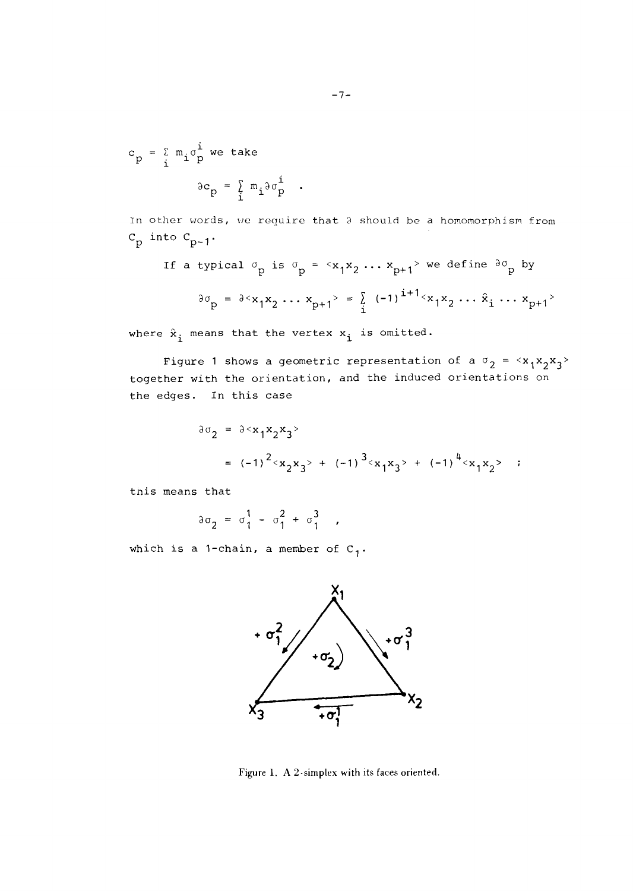$$
c_p = \sum_{i} m_i \sigma_p^i
$$
 we take  

$$
\partial c_p = \sum_{i} m_i \partial \sigma_p^i
$$
.

In other words, we require that a should be a homomorphism from  $C_p$  into  $C_{p-1}$ .

If a typical 
$$
\sigma_p
$$
 is  $\sigma_p = \langle x_1 x_2 \dots x_{p+1} \rangle$  we define  $\partial \sigma_p$  by  

$$
\partial \sigma_p = \partial \langle x_1 x_2 \dots x_{p+1} \rangle = \sum_i (-1)^{i+1} \langle x_1 x_2 \dots \hat{x}_i \dots x_{p+1} \rangle
$$

where  $\hat{x}_i$  means that the vertex  $x_i$  is omitted.

Figure 1 shows a geometric representation of a  $\sigma_2 = \langle x_1 x_2 x_3 \rangle$ together with the orientation, and the induced orientations on the edges. In this case

$$
\partial \sigma_2 = \partial^2 x_1 x_2 x_3
$$
  
=  $(-1)^2 \langle x_2 x_3 \rangle + (-1)^3 \langle x_1 x_3 \rangle + (-1)^4 \langle x_1 x_2 \rangle$ ;

this means that

$$
\partial \sigma_2 = \sigma_1^1 - \sigma_1^2 + \sigma_1^3 ,
$$

which is a 1-chain, a member of  $C_1$ .



Figure 1. **A** 2-simplex with its faces oriented.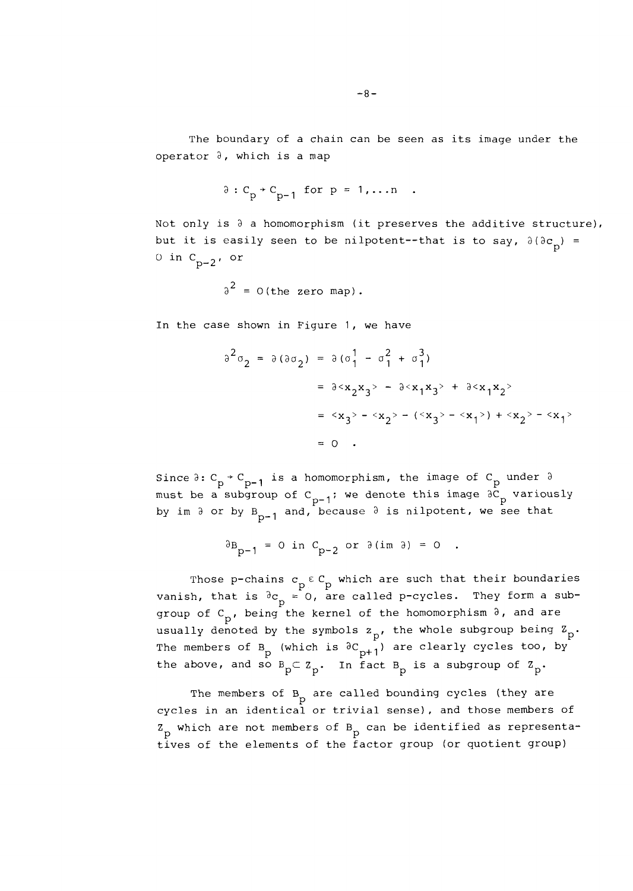$$
\delta: C_p \rightarrow C_{p-1} \text{ for } p = 1,...n .
$$

Not only is  $\partial$  a homomorphism (it preserves the additive structure), but it is easily seen to be nilpotent--that is to say,  $\partial (\partial c_{\bf p}) =$ 0 in  $C_{p-2}$ , or

$$
\delta^2 = 0 \text{ (the zero map)}.
$$

In the case shown in Figure 1, we have

$$
\begin{aligned}\n\partial^2 \sigma_2 &= \partial (\partial \sigma_2) = \partial (\sigma_1^1 - \sigma_1^2 + \sigma_1^3) \\
&= \partial^2 x_2 x_3^2 - \partial^2 x_1 x_3^2 + \partial^2 x_1 x_2^2 \\
&= \langle x_3 \rangle - \langle x_2 \rangle - (\langle x_3 \rangle - \langle x_1 \rangle) + \langle x_2 \rangle - \langle x_1 \rangle \\
&= 0 .\n\end{aligned}
$$

Since  $\partial: C_p \rightarrow C_{p-1}$  is a homomorphism, the image of  $C_p$  under  $\partial$ must be a subgroup of  $C_{p-1}$ ; we denote this image  $\partial C_p$  variously by im  $\partial$  or by  $B_{p-1}$  and, because  $\partial$  is nilpotent, we see that

$$
\partial B_{p-1} = 0 \text{ in } C_{p-2} \text{ or } \partial(\text{im } \partial) = 0 .
$$

Those p-chains  $c_p \varepsilon c_p$  which are such that their boundaries vanish, that is  ${}^3c_p = 0$ , are called p-cycles. They form a subgroup of  $C_{p}$ , being the kernel of the homomorphism  $\partial$ , and are usually denoted by the symbols  $z_{p}$ , the whole subgroup being  $z_{p}$ . The members of B<sub>p</sub> (which is  ${}^3C_{p+1}$ ) are clearly cycles too, by<br>the above, and so B<sub>p</sub> $\subset Z_p$ . In fact B<sub>p</sub> is a subgroup of Z<sub>p</sub>. the above, and so  $B_p \subset Z_p$ . In fact  $B_p$  is a subgroup of  $Z_p$ .

The members of  $B_p$  are called bounding cycles (they are cycles in an identical or trivial sense), and those members of  $Z_{\text{p}}$  which are not members of B<sub>p</sub> can be identified as representatives of the elements of the factor group (or quotient group)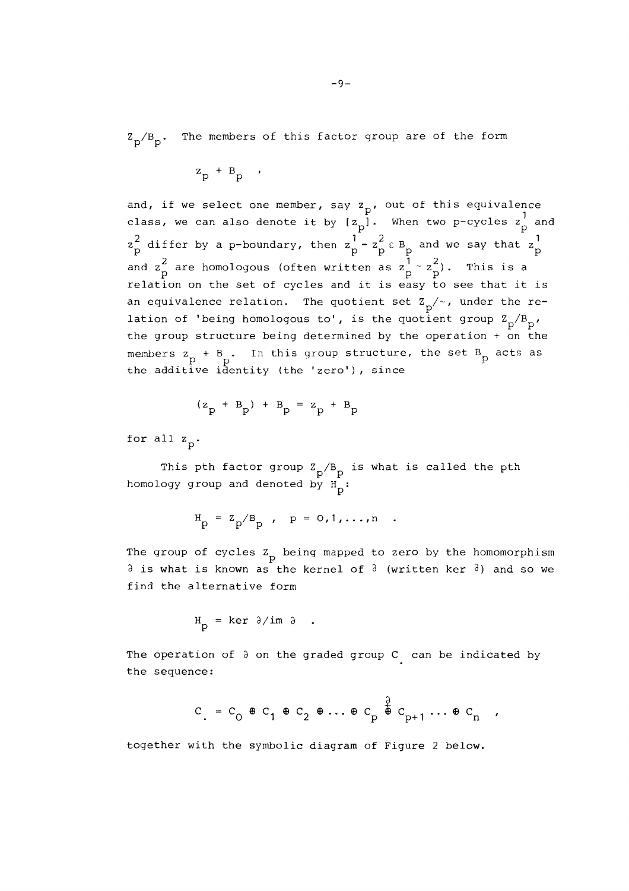$\rm Z_p/B_p$ . The members of this factor group are of the form

$$
z_{p} + B_{p}
$$

and, if we select one member, say  $z_p$ , out of this equivalence class, we can also denote it by  $\begin{bmatrix} 1 & p \\ p \end{bmatrix}$ . When two p-cycles  $z_p^1$  and  $z_p^2$  differ by a p-boundary, then  $z_p^1 - z_p^2 \varepsilon B_p$  and we say that  $z_p^1$ <br>and  $z_p^2$  are homologous (often written as  $z_p^1 \sim z_p^2$ ). This is a relation on the set of cycles and it is easy to see that it is an equivalence relation. The quotient set  $Z_{p}/\sim$ , under the relation of 'being homologous to', is the quotient group  $\rm{Z}_p/\rm{B}_p$ , the group structure being determined by the operation + on the members  $z_p + B_p$ . In this group structure, the set  $B_p$  acts as the additive identity (the 'zero'), since

$$
(z_p + B_p) + B_p = z_p + B_p
$$

for all  $z_p$ .

This pth factor group  $Z_p/B_p$  is what is called the pth homology group and denoted by  $H_p$ :

$$
H_p = Z_p / B_p
$$
,  $p = 0, 1, ..., n$ 

The group of cycles  $Z_{\text{p}}$  being mapped to zero by the homomorphism  $\partial$  is what is known as the kernel of  $\partial$  (written ker  $\partial$ ) and so we find the alternative form

$$
H_D = ker \partial / im \partial
$$

The operation of  $\partial$  on the graded group  $C$  can be indicated by the sequence:

$$
C = C_0 \oplus C_1 \oplus C_2 \oplus \ldots \oplus C_p \stackrel{\frac{\partial}{\partial}}{\oplus} C_{p+1} \ldots \oplus C_n ,
$$

together with the symbolic diagram of Figure 2 below.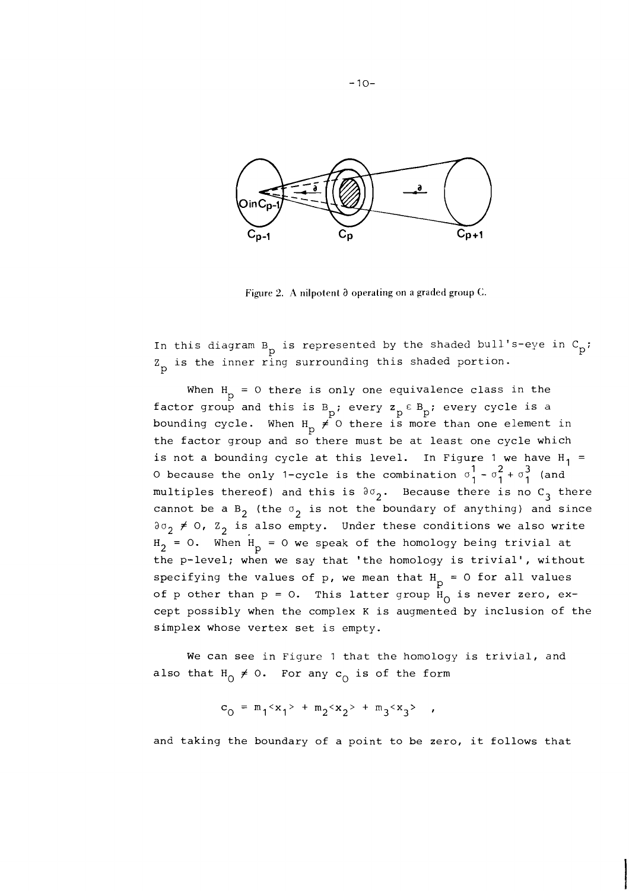

Figure 2. A nilpotent  $\partial$  operating on a graded group C.

In this diagram  $B_p$  is represented by the shaded bull's-eye in  $C_p$ ;  $Z_{\text{p}}$  is the inner ring surrounding this shaded portion.

When  $H_p = 0$  there is only one equivalence class in the factor group and this is  $B_p$ ; every  $z_p \in B_p$ ; every cycle is a bounding cycle. When  $H_p \neq 0$  there is more than one element in the factor group and so there must be at least one cycle which is not a bounding cycle at this level. In Figure 1 we have  $H_1$  = 0 because the only 1-cycle is the combination  $\sigma_1^1$  -  $\sigma_1^2$  +  $\sigma_1^3$  (and multiples thereof) and this is  $\partial\sigma_2$ . Because there is no C<sub>3</sub> there cannot be a  $B_2$  (the  $\sigma_2$  is not the boundary of anything) and since  $a_2 \neq 0$ ,  $z_2$  is also empty. Under these conditions we also write  $H_2 = 0$ . When  $H_p = 0$  we speak of the homology being trivial at the p-level; when we say that 'the homology is trivial', without specifying the values of  $p$ , we mean that  $H_p = 0$  for all values of p other than  $p = 0$ . This latter group  $H_0$  is never zero, except possibly when the complex K is augmented by inclusion of the simplex whose vertex set is empty.

We can see in Figure 1 that the homology is trivial, and also that  $H_0 \neq 0$ . For any  $c_0$  is of the form

$$
c_0 = m_1 < x_1 > + m_2 < x_2 > + m_3 < x_3 > + m_3 < x_3 > + m_3 < x_3 > + m_3 < x_3 > + m_3 < x_3 > + m_3 < x_3 > + m_3 < x_3 > + m_3 < x_3 > + m_3 < x_3 > + m_3 < x_3 > + m_3 < x_3 > + m_3 < x_3 > + m_3 < x_3 > + m_3 < x_3 > + m_3 < x_3 > + m_3 < x_3 > + m_3 < x_3 > + m_3 < x_3 > + m_3 < x_3 > + m_3 < x_3 > + m_3 < x_3 > + m_3 < x_3 > + m_3 < x_3 > + m_3 < x_3 > + m_3 < x_3 > + m_3 < x_3 > + m_3 < x_3 > + m_3 < x_3 > + m_3 < x_3 > + m_3 < x_3 > + m_3 < x_3 > + m_3 < x_3 > + m_3 < x_3 > + m_3 < x_3 > + m_3 < x_3 > + m_3 < x_3 > + m_3 < x_3 > + m_3 < x_3 > + m_3 < x_3 > + m_3 < x_3 > + m_3 < x_3 > + m_3 < x_3 > + m_3 < x_3 > + m_3 < x_3 > + m_3 < x_3 > + m_3 < x_3 > + m_3 < x_3 > + m_3 < x_3 > + m_3 < x_3 > + m_3 < x_3 > + m_3 > + m_3 > + m_3 > + m_3 > + m_3 > + m_3 > + m_3 > + m_3 > + m_3 > + m_3 > + m_3 > + m_
$$

and taking the boundary of a point to be zero, it follows that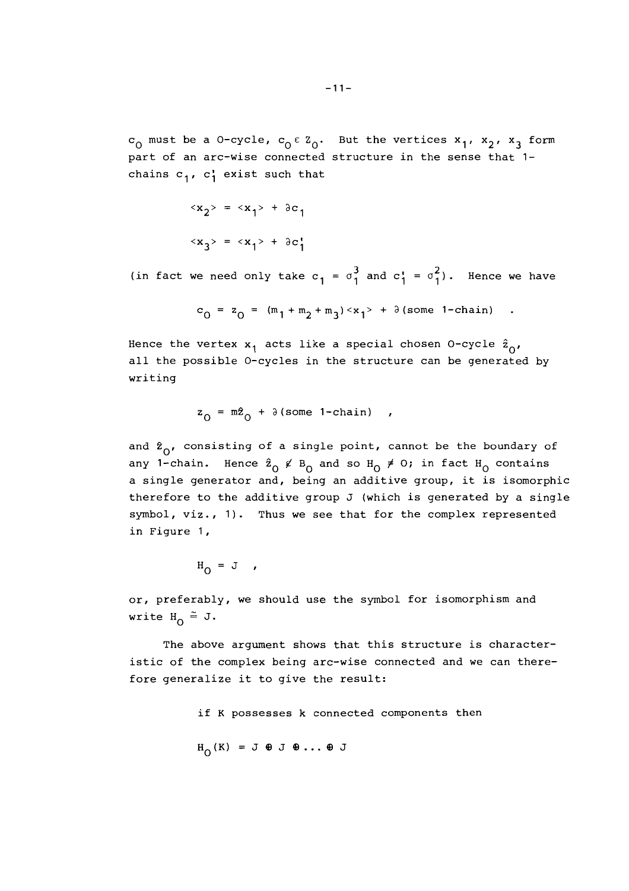$c_0$  must be a 0-cycle,  $c_0 \in z_0$ . But the vertices  $x_1$ ,  $x_2$ ,  $x_3$  form part of an arc-wise connected structure in the sense that 1 chains  $c_1$ ,  $c_1$  exist such that

$$
\langle x_2 \rangle = \langle x_1 \rangle + \partial c_1
$$
  

$$
\langle x_3 \rangle = \langle x_1 \rangle + \partial c_1
$$

(in fact we need only take  $c_1 = \sigma_1^3$  and  $c_1 = \sigma_1^2$ ). Hence we have

$$
c_0 = z_0 = (m_1 + m_2 + m_3) \langle x_1 \rangle + \partial (\text{some 1-chain})
$$
.

Hence the vertex  $x_1$  acts like a special chosen 0-cycle  $\hat{z}_{0}$ , all the possible 0-cycles in the structure can be generated by writing

$$
z_0 = m\hat{z}_0 + \partial(\text{some 1-chain})
$$

and  $\ell_{\alpha}$ , consisting of a single point, cannot be the boundary of any 1-chain. Hence  $\hat{z}_0 \notin B_0$  and so  $H_0 \neq 0$ ; in fact  $H_0$  contains a single generator and, being an additive group, it is isomorphic therefore to the additive group  $J$  (which is generated by a single symbol, viz., 1). Thus we see that for the complex represented in Figure 1,

$$
H_{\Omega} = J \quad ,
$$

or, preferably, we should use the symbol for isomorphism and write  $H_0 \cong J$ .

The above argument shows that this structure is characteristic of the complex being arc-wise connected and we can therefore generalize it to give the result:

if K possesses k connected components then

$$
H_{O}(K) = J \oplus J \oplus \ldots \oplus J
$$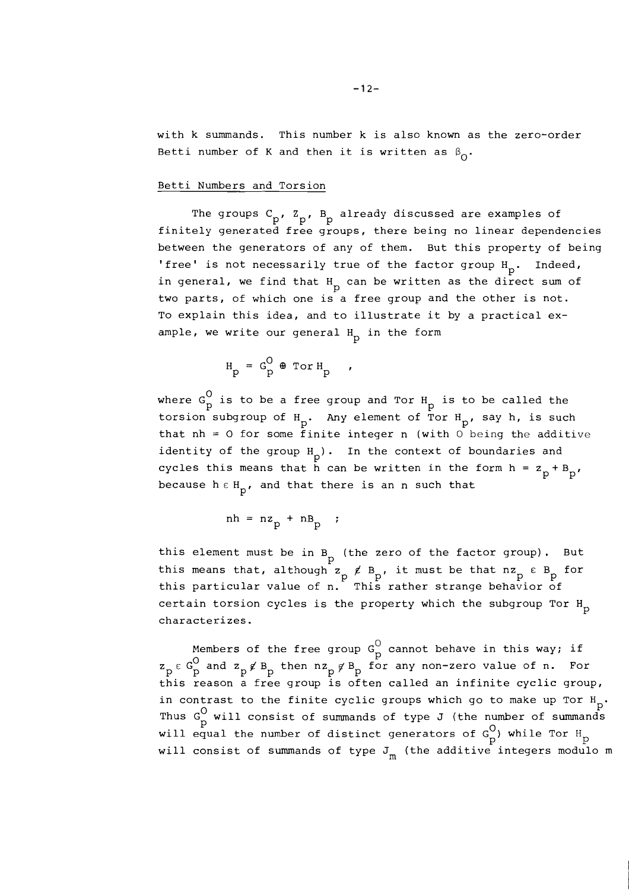with k summands. This number k is also known as the zero-order Betti number of K and then it is written as  $\beta_0$ .

## Betti Numbers and Torsion

The groups  $C_p$ ,  $Z_p$ ,  $B_p$  already discussed are examples of finitely generated free groups, there being no linear dependencies between the generators of any of them. But this property of being 'free' is not necessarily true of the factor group  $H_p$ . Indeed, in general, we find that  $H_p$  can be written as the direct sum of two parts, of which one is a free group and the other is not. To explain this idea, and to illustrate it by a practical example, we write our general  $_{\rm p}$  in the form

$$
H_p = G_p^0 \oplus \text{Tor } H_p
$$

where  $G_p^O$  is to be a free group and Tor  $H_p$  is to be called the torsion subgroup of  $H_p$ . Any element of Tor  $H_p$ , say h, is such that nh = 0 for some finite integer n (with  $0$  being the additive identity of the group  $H_p$ ). In the context of boundaries and cycles this means that h can be written in the form  $h = z_p + B_p'$ , because  $h \in H_p$ , and that there is an n such that

$$
nh = nz_p + nB_p ;
$$

this element must be in  $B_{p}$  (the zero of the factor group). But this means that, although  $z_p \notin B_p$ , it must be that  $nz_p \in B_p$  for this particular value of n. This rather strange behavior of certain torsion cycles is the property which the subgroup Tor  $H_{p}$ characterizes.

Members of the free group  $G_p^O$  cannot behave in this way; if  $z_p \in G_p^O$  and  $z_p \notin B_p$  then  $nz_p \notin B_p$  for any non-zero value of n. For this reason a free group is often called an infinite cyclic group, in contrast to the finite cyclic groups which go to make up Tor  $H_p$ . Thus G<sub>p</sub> will consist of summands of type J (the number of summands will equal the number of distinct generators of  $G_p^O$ ) while Tor  $H_p^O$  will consist of summands of type  $J_m^O$  (the additive integers modulo m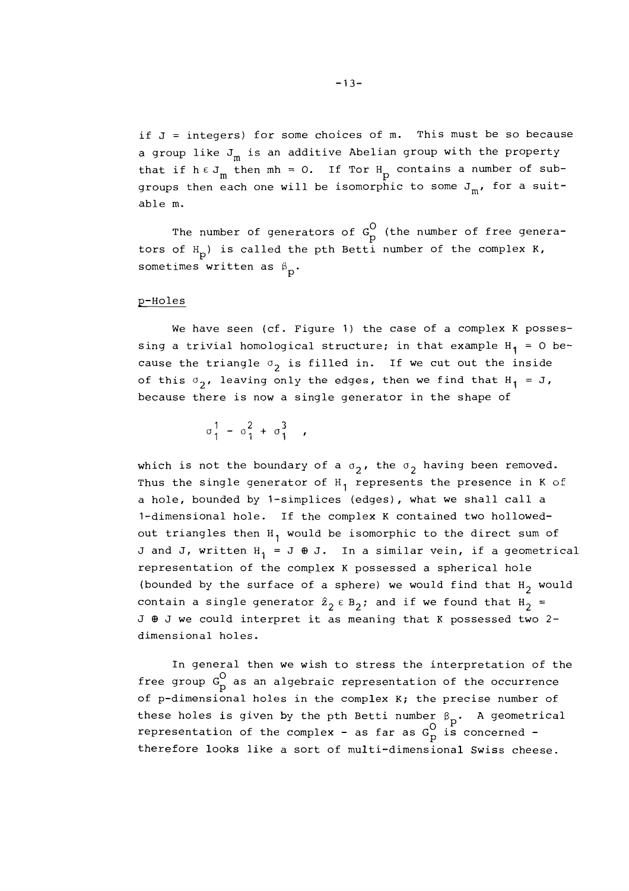if J = integers) for some choices of m. This must be so because a group like  $J_m$  is an additive Abelian group with the property that if  $h \in J_m$  then  $mh = 0$ . If Tor  $H_p$  contains a number of subgroups then each one will be isomorphic to some  $J_m$ , for a suitable m.

The number of generators of  $G_p^O$  (the number of free generators of  $H_n$ ) is called the pth Betti number of the complex K, sometimes written as  $\upbeta$ <sub>p</sub>.

## p-Holes

We have seen (cf. Figure 1) the case of a complex K possessing a trivial homological structure; in that example  $H_1 = 0$  because the triangle  $\sigma_2$  is filled in. If we cut out the inside of this  $\sigma_2$ , leaving only the edges, then we find that  $H_1 = J$ , because there is now a single generator in the shape of

 $\sigma_1^1 - \sigma_1^2 + \sigma_1^3$ 

which is not the boundary of a  $\sigma_2$ , the  $\sigma_2$  having been removed. Thus the single generator of  $H_1$  represents the presence in K of a hole, bounded by 1-simplices (edges), what we shall call a 1-dimensional hole. If the complex K contained two hollowedout triangles then  $H_1$  would be isomorphic to the direct sum of J and J, written  $H_1 = J \oplus J$ . In a similar vein, if a geometrical representation of the complex K possessed a spherical hole (bounded by the surface of a sphere) we would find that  $H_2$  would contain a single generator  $\hat{z}_2 \in B_2$ ; and if we found that  $H_2$  = J  $\theta$  J we could interpret it as meaning that K possessed two 2dimensional holes.

In general then we wish to stress the interpretation of the free group G<sub>O</sub> as an algebraic representation of the occurrence of p-dimensional holes in the complex K; the precise number of these holes is given by the pth Betti number  $\beta_p$ . A geometrical representation of the complex - as far as  $G_p^O$  is concerned therefore looks like a sort of multi-dimensional Swiss cheese.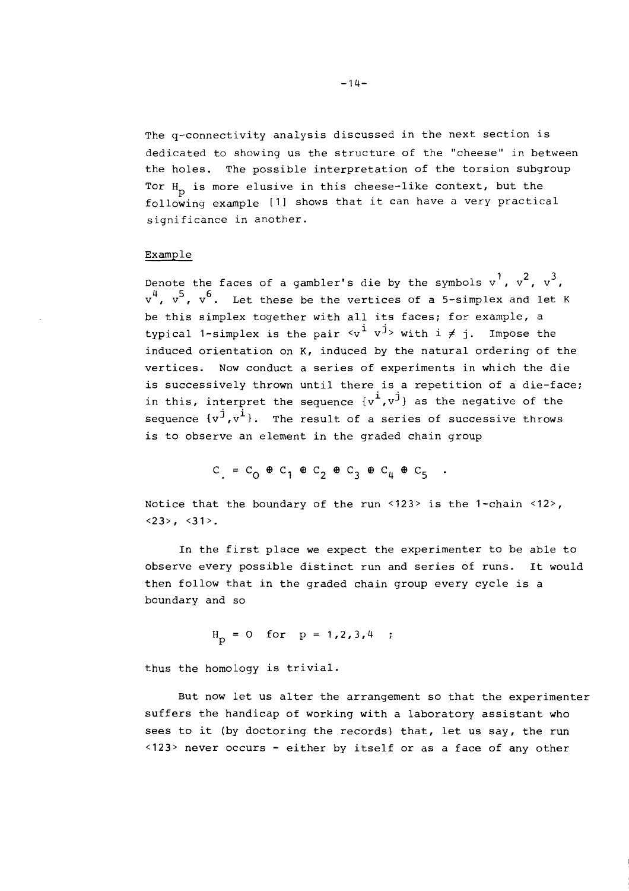The q-connectivity analysis discussed in the next section is dedicated to showing us the structure of the "cheese" in between the holes. The possible interpretation of the torsion subgroup Tor  $H_n$  is more elusive in this cheese-like context, but the following example [I] shows that it can have a very practical significance in another.

# Example

Denote the faces of a gambler's die by the symbols  $v^1$ ,  $v^2$ ,  $v^3$ ,  $v^4$ ,  $v^5$ ,  $v^6$ . Let these be the vertices of a 5-simplex and let K be this simplex together with all its faces; for example, a typical 1-simplex is the pair  $\langle v^{\dot{1}} v^{\dot{1}} \rangle$  with  $i \neq j$ . Impose the induced orientation on **K,** induced by the natural ordering of the vertices. Now conduct a series of experiments in which the die is successively thrown until there is a repetition of a die-face; in this, interpret the sequence  ${v^i, v^j}$  as the negative of the sequence  $\{v^{\hat{j}}, v^{\hat{i}}\}$ . The result of a series of successive throws is to observe an element in the graded chain group

 $C_1 = C_0 \oplus C_1 \oplus C_2 \oplus C_3 \oplus C_4 \oplus C_5$ .

Notice that the boundary of the run <123> is the 1-chain <12>,  $\langle 23 \rangle$ ,  $\langle 31 \rangle$ .

In the first place we expect the experimenter to be able to observe every possible distinct run and series of runs. It would then follow that in the graded chain group every cycle is a boundary and so

$$
H_p = 0
$$
 for  $p = 1, 2, 3, 4$  ;

thus the homology is trivial.

But now let us alter the arrangement so that the experimenter suffers the handicap of working with a laboratory assistant who sees to it (by doctoring the records) that, let us say, the run <123> never occurs - either by itself or as a face of any other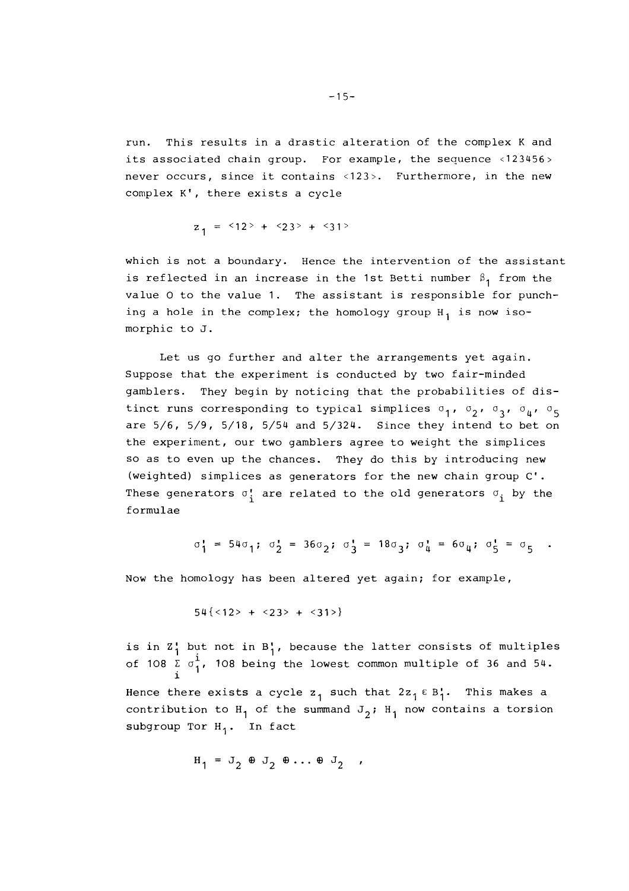run. This results in a drastic alteration of the complex K and its associated chain group. For example, the sequence  $\langle 123456 \rangle$ never occurs, since it contains <123>. Furthermore, in the new complex K', there exists a cycle

 $z_1$  =  $\leq 12$  > +  $\leq 23$  > +  $\leq 31$  >

which is not a boundary. Hence the intervention of the assistant is reflected in an increase in the 1st Betti number  $\beta_1$  from the value 0 to the value 1. The assistant is responsible for punching a hole in the complex; the homology group  $H_1$  is now isomorphic to J.

Let us go further and alter the arrangements yet again. Suppose that the experiment is conducted by two fair-minded gamblers. They begin by noticing that the probabilities of distinct runs corresponding to typical simplices  $\sigma_1$ ,  $\sigma_2$ ,  $\sigma_3$ ,  $\sigma_{\mu}$ ,  $\sigma_5$ are  $5/6$ ,  $5/9$ ,  $5/18$ ,  $5/54$  and  $5/324$ . Since they intend to bet on the experiment, our two gamblers agree to weight the simplices so as to even up the chances. They do this by introducing new (weighted) simplices as generators for the new chain group C'. These generators  $\sigma_i^*$  are related to the old generators  $\sigma_i^*$  by the formulae

$$
\sigma_1^* = 54\sigma_1; \sigma_2^* = 36\sigma_2; \sigma_3^* = 18\sigma_3; \sigma_4^* = 6\sigma_4; \sigma_5^* = \sigma_5
$$
.

Now the homology has been altered yet again; for example,

$$
54 \{ < 12 > + < 23 > + < 31 > \}
$$

is in  $Z_1'$  but not in  $B_1'$ , because the latter consists of multiples of 108  $\overline{c}$  o<sup>1</sup>, 108 being the lowest common multiple of 36 and 54. i Hence there exists a cycle  $z_1$  such that  $2z_1 \in B_1'$ . This makes a contribution to H<sub>1</sub> of the summand  $J_2$ ; H<sub>1</sub> now contains a torsion subgroup Tor  $H_1$ . In fact

$$
H_1 = J_2 \oplus J_2 \oplus \ldots \oplus J_2 ,
$$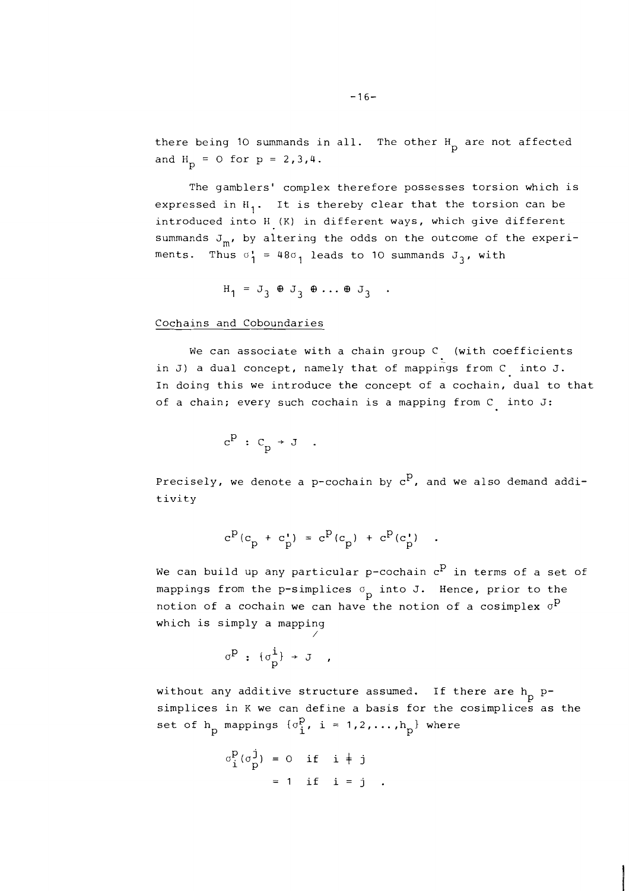there being 10 summands in all. The other  $H_p$  are not affected and  $H_p = 0$  for  $p = 2, 3, 4$ .

The gamblers' complex therefore possesses torsion which is expressed in  $H_1$ . It is thereby clear that the torsion can be introduced into H (K) in different ways, which give different summands  $J_m$ , by altering the odds on the outcome of the experiments. Thus  $\sigma_1^* = 48\sigma_1$  leads to 10 summands  $J_3$ , with

$$
H_1 = J_3 \oplus J_3 \oplus \ldots \oplus J_3
$$

Cochains and Coboundaries

We can associate with a chain group C (with coefficients in J) a dual concept, namely that of mappings from C into J. In doing this we introduce the concept of a cochain, dual to that of a chain; every such cochain is a mapping from C into J:

$$
c^p : c_p \rightarrow J .
$$

Precisely, we denote a p-cochain by  $c^p$ , and we also demand additivity

$$
c^{P}(c_{p} + c_{p}^{*}) = c^{P}(c_{p}) + c^{P}(c_{p}^{*})
$$

We can build up any particular p-cochain  $c^P$  in terms of a set of mappings from the p-simplices  $\sigma_p$  into J. Hence, prior to the notion of a cochain we can have the notion of a cosimplex  $\sigma^P$ which is simply a mapping /

$$
\sigma^p : \{\sigma^i_p\} \to J
$$

without any additive structure assumed. If there are  $h_p$  psimplices in K we can define a basis for the cosimplices as the set of  $h_p$  mappings  $\{\sigma_i^p, i = 1, 2, ..., h_p\}$  where

$$
\sigma_1^p(\sigma_p^j) = 0 \quad \text{if} \quad i \neq j
$$

$$
= 1 \quad \text{if} \quad i = j.
$$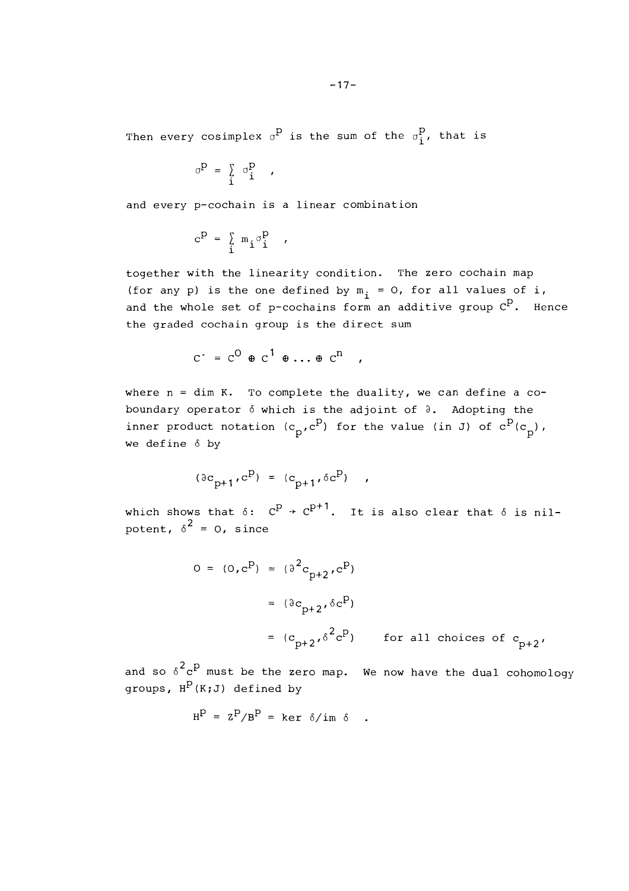Then every cosimplex  $\sigma^P$  is the sum of the  $\sigma_i^P$ , that is

$$
\sigma^{\mathbf{p}} = \begin{bmatrix} \sigma^{\mathbf{p}}_{\mathbf{i}} & \cdots & \sigma^{\mathbf{p}}_{\mathbf{i}} \end{bmatrix}
$$

and every p-cochain is a linear combination

$$
c^P = \sum_i m_i \sigma_i^P
$$

together with the linearity condition. The zero cochain map (for any p) is the one defined by  $m_i = 0$ , for all values of i, and the whole set of p-cochains form an additive group  $C^P$ . Hence the graded cochain group is the direct sum

$$
C^{\dagger} = C^{\circ} \oplus C^{\dagger} \oplus \ldots \oplus C^{\circ} ,
$$

where  $n = \dim K$ . To complete the duality, we can define a coboundary operator  $\delta$  which is the adjoint of  $\delta$ . Adopting the inner product notation  $(c_p, c^p)$  for the value (in J) of  $c^P(c_p)$ , we define  $\delta$  by

$$
(\partial c_{p+1}, c^p) = (c_{p+1}, \delta c^p) ,
$$

which shows that  $\delta: C^p \rightarrow C^{p+1}$ . It is also clear that  $\delta$  is nilpotent,  $\delta^2 = 0$ , since

$$
0 = (0, cP) = (\partial2cp+2, cP)
$$
  
= (\partial c<sub>p+2</sub>, \delta c<sup>P</sup>)  
= (c<sub>p+2</sub>, \delta<sup>2</sup>c<sup>P</sup>) for all choices of c<sub>p+2</sub>,

and so  $\delta^2 c^p$  must be the zero map. We now have the dual cohomology groups,  $H^P(K;J)$  defined by

$$
H^{P} = Z^{P}/B^{P} = ker \delta/im \delta .
$$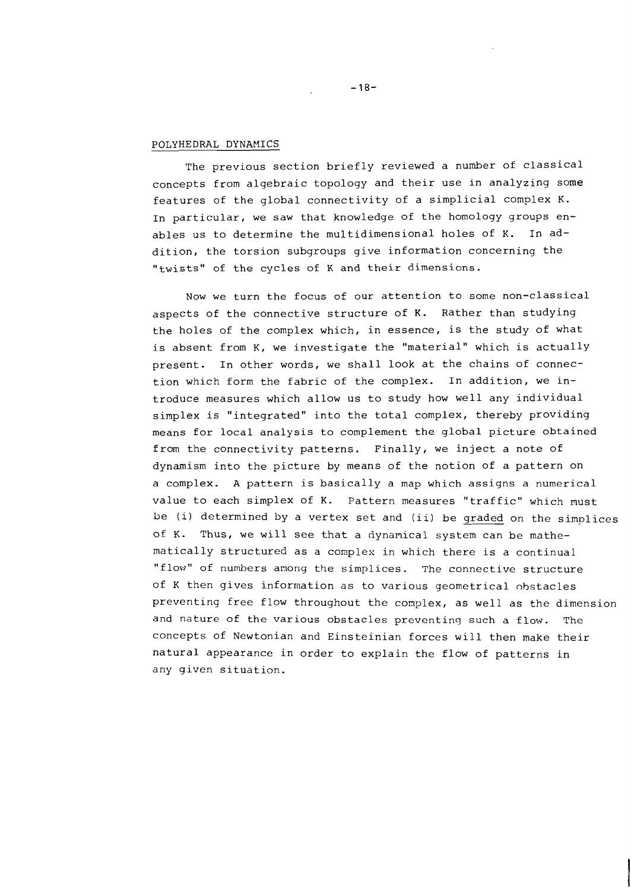## POLYHEDRAL DYNAMICS

The previous section briefly reviewed a number of classical concepts from algebraic topology and their use in analyzing some features of the global connectivity of a simplicia1 complex K. In particular, we saw that knowledge of the homology groups enables us to determine the multidimensional holes of K. In addition, the torsion subgroups give information concerning the "twists" of the cycles of K and their dimensions.

Now we turn the focus of our attention to some non-classical aspects of the connective structure of K. Rather than studying the holes of the complex which, in essence, is the study of what is absent from K, we investigate the "material" which is actually present. In other words, we shall look at the chains of connection which form the fabric of the complex. In addition, we introduce measures which allow us to study how well any individual simplex is "integrated" into the total complex, thereby providing means for local analysis to complement the global picture obtained from the connectivity patterns. Finally, we inject a note of dynamism into the picture by means of the notion of a pattern on a complex. A pattern is basically a map which assigns a numerical value to each simplex of K. Pattern measures "traffic" which must be (i) determined by a vertex set and (ii) be graded on the simplices of K. Thus, we will see that a dynamical system can be mathematically structured as a complex in which there is a continual "flow" of numhers among the simplices. The connective structure of K then gives information as to various geometrical obstacles preventing free flow throughout the comylex, as well as the dimension and nature of the various obstacles preventing such a flow. The concepts of Newtonian and Einsteinian forces will then make their natural appearance in order to explain the flow of patterns in any given situation.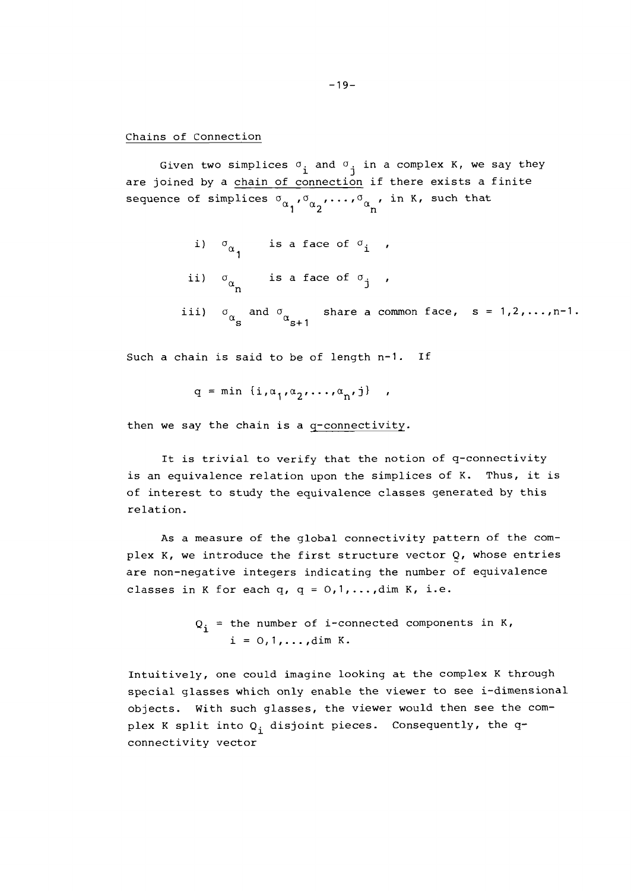Chains of Connection

Given two simplices  $\sigma_i$  and  $\sigma_j$  in a complex K, we say they are joined by a chain of connection if there exists a finite sequence of simplices  $\sigma_{\alpha_1}, \sigma_{\alpha_2}, \ldots, \sigma_{\alpha_n}$ , in K, such that

- i)  $\sigma_{\alpha}$  is a face of  $\sigma_i$ ,
- ii)  $\sigma_{\alpha}$  is a face of  $\sigma_{\rm j}$
- iii)  $\sigma_{\alpha}$  and  $\sigma_{\alpha_{s+1}}$  share a common face, s = 1,2,..., n-1.

Such a chain is said to be of length n-1. If

$$
q = min \{i, \alpha_1, \alpha_2, \ldots, \alpha_n, j\} ,
$$

then we say the chain is a q-connectivity.

It is trivial to verify that the notion of q-connectivity is an equivalence relation upon the simplices of K. Thus, it is of interest to study the equivalence classes generated by this relation.

As a measure of the global connectivity pattern of the complex K, we introduce the first structure vector  $Q$ , whose entries are non-negative integers indicating the number of equivalence classes in K for each q,  $q = 0, 1, \ldots, \text{dim } K$ , i.e.

```
Q_i = the number of i-connected components in K,
     i = 0, 1, \ldots, \dim K.
```
Intuitively, one could imagine looking at the complex K through special glasses which only enable the viewer to see i-dimensional objects. With such glasses, the viewer would then see the complex K split into  $Q_i$ , disjoint pieces. Consequently, the qconnectivity vector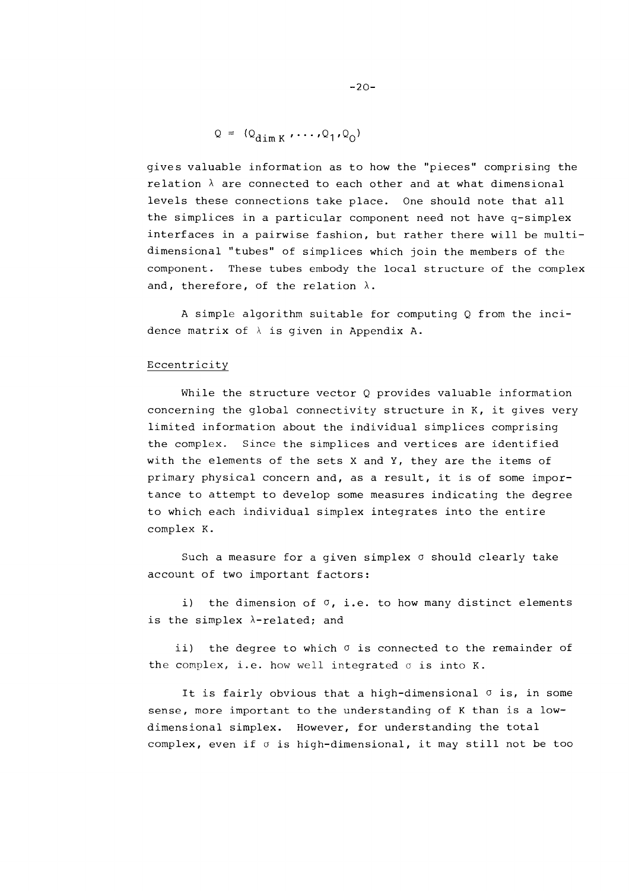$$
Q = (Q_{\dim K} \cdot \cdots \cdot Q_1 \cdot Q_0)
$$

gives valuable information as to how the "pieces" comprising the relation  $\lambda$  are connected to each other and at what dimensional levels these connections take place. One should note that all the simplices in a particular component need not have q-simplex interfaces in a pairwise fashion, but rather there will be multidimensional "tubes" of simplices which join the members of the component. These tubes embody the local structure of the complex and, therefore, of the relation  $\lambda$ .

A simple algorithm suitable for computing Q from the incidence matrix of  $\lambda$  is given in Appendix A.

#### Eccentricity

While the structure vector Q provides valuable information concerning the global connectivity structure in K, it gives very limited information about the individual simplices comprising the complex. Since the simplices and vertices are identified with the elements of the sets X and Y, they are the items of primary physical concern and, as a result, it is of some importance to attempt to develop some measures indicating the degree to which each individual simplex integrates into the entire complex K.

Such a measure for a given simplex  $\sigma$  should clearly take account of two important factors:

i) the dimension of *0,* i.e. to how many distinct elements is the simplex  $\lambda$ -related; and

ii) the degree to which *o* is connected to the remainder of the complex, i.e. how well integrated  $\sigma$  is into K.

It is fairly obvious that a high-dimensional  $\sigma$  is, in some sense, more important to the understanding of K than is a lowdimensional simplex. However, for understanding the total complex, even if *o* is high-dimensional, it may still not be too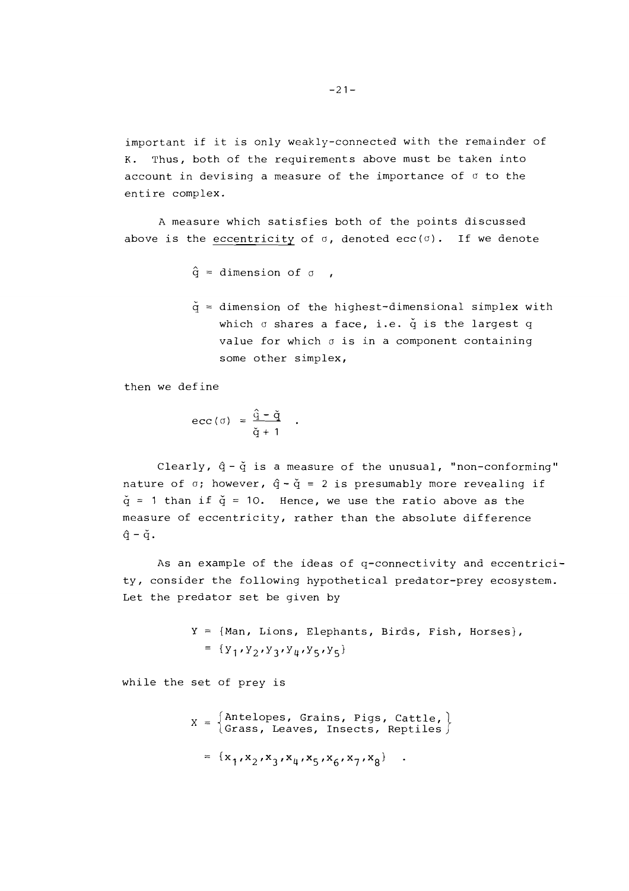important if it is only weakly-connected with the remainder of K. Thus, both of the requirements above must be taken into account in devising a measure of the importance of  $\sigma$  to the entire complex.

A measure which satisfies both of the points discussed above is the eccentricity of  $\sigma$ , denoted ecc( $\sigma$ ). If we denote

```
\hat{q} = dimension of \sigma ,
```
 $\check{q}$  = dimension of the highest-dimensional simplex with which  $\sigma$  shares a face, i.e.  $\check{q}$  is the largest  $q$ value for which o is in a component containing some other simplex,

then we define

$$
\text{ecc}(\sigma) = \frac{\hat{q} - \check{q}}{\check{q} + 1} .
$$

Clearly,  $\hat{q}$  -  $\check{q}$  is a measure of the unusual, "non-conforming" nature of  $\sigma$ ; however,  $\hat{q} - \check{q} = 2$  is presumably more revealing if  $\check{q}$  = 1 than if  $\check{q}$  = 10. Hence, we use the ratio above as the measure of eccentricity, rather than the absolute difference  $\hat{q} - \check{q}$ .

As an example of the ideas of q-connectivity and eccentricity, consider the following hypothetical predator-prey ecosystem. Let the predator set be given by

> $Y = \{Man, Lions, Elephants, Birds, Fish, Horses\},\$ =  ${y_1, y_2, y_3, y_4, y_5, y_5}$

while the set of prey is

 $X = \begin{cases} \text{Antelopes, Grains, Pigs, Cattle,} \\ \text{Grass, Leaves, Insects, Reptiles} \end{cases}$ =  $\{x_1, x_2, x_3, x_4, x_5, x_6, x_7, x_8\}$  .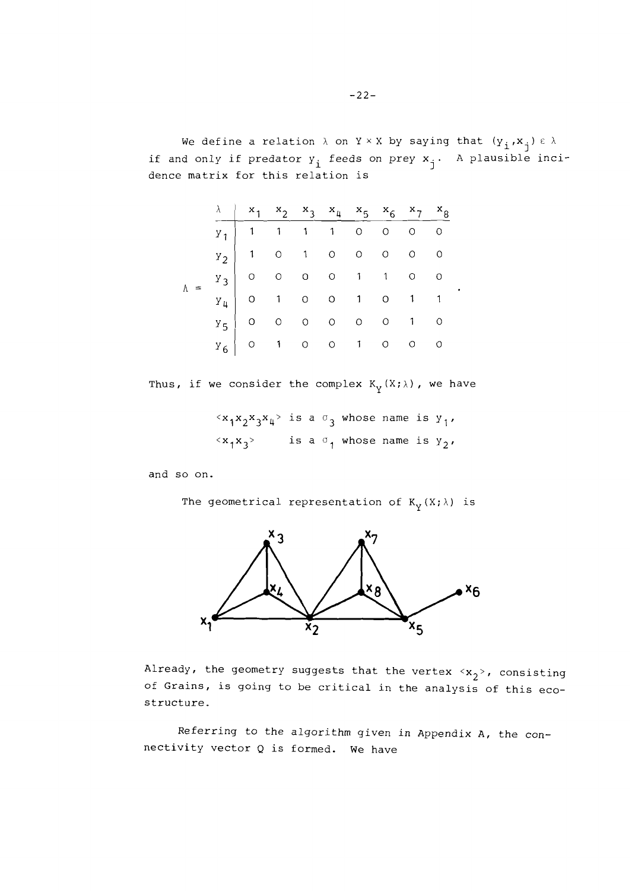We define a relation  $\lambda$  on Y x X by saying that  $(y_i, x_j) \in \lambda$ f and only if predator  $y_i$  feeds on prey  $x_j$ . A plausible incidence matrix for this relation is

|  | $\lambda$   $x_1$ $x_2$ $x_3$ $x_4$ $x_5$ $x_6$ $x_7$ $x_8$ |  |  |  |  |
|--|-------------------------------------------------------------|--|--|--|--|
|  |                                                             |  |  |  |  |
|  |                                                             |  |  |  |  |
|  |                                                             |  |  |  |  |
|  |                                                             |  |  |  |  |
|  |                                                             |  |  |  |  |
|  |                                                             |  |  |  |  |

Thus, if we consider the complex  $K_V(X; \lambda)$ , we have

 $\langle x_1x_2x_3x_4\rangle$  is a  $\sigma_3$  whose name is  $y_1$ ,  $\langle x_1 x_3 \rangle$  is a  $\sigma_1$  whose name is  $y_2$ ,

and so on.

The geometrical representation of  $K_{\gamma}(X; \lambda)$  is



Already, the geometry suggests that the vertex  $\langle x_2 \rangle$ , consisting of Grains, is going to be critical in the analysis of this ecostructure.

Referring to the algorithm given in Appendix A, the connectivity vector Q is formed. We have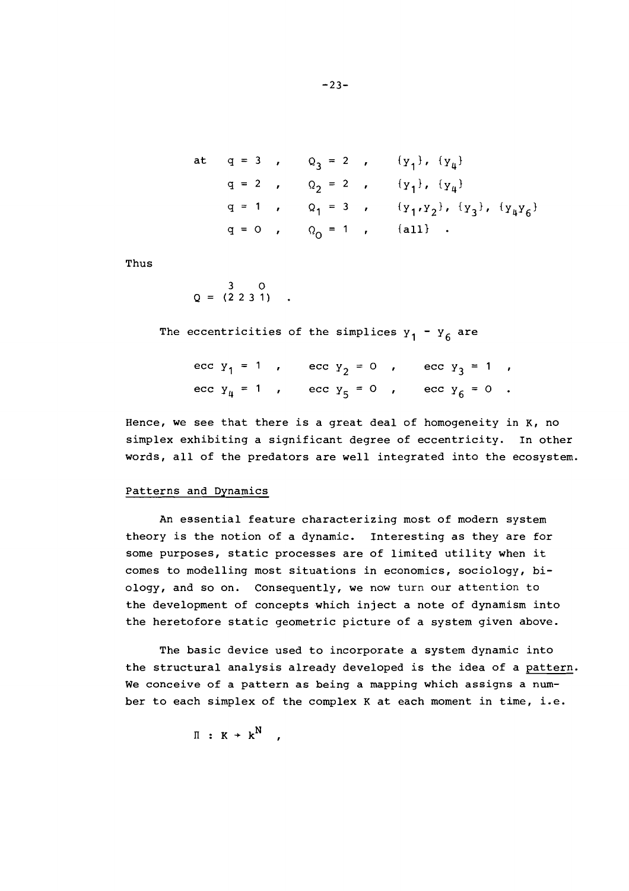at 
$$
q = 3
$$
,  $Q_3 = 2$ ,  $\{y_1\}$ ,  $\{y_4\}$   
\n $q = 2$ ,  $Q_2 = 2$ ,  $\{y_1\}$ ,  $\{y_4\}$   
\n $q = 1$ ,  $Q_1 = 3$ ,  $\{y_1, y_2\}$ ,  $\{y_3\}$ ,  $\{y_4y_6\}$   
\n $q = 0$ ,  $Q_0 = 1$ ,  $\{all\}$ .

Thus

 $Q = \begin{pmatrix} 3 & 0 \\ 2 & 2 & 3 & 1 \end{pmatrix}$ .

The eccentricities of the simplices  $y_1 - y_6$  are

ecc  $y_1 = 1$ , ecc  $y_2 = 0$ , ecc  $y_3 = 1$ , ecc  $y_4 = 1$  , ecc  $y_5 = 0$  , ecc  $y_6 = 0$  .

Hence, we see that there is a great deal of homogeneity in K, no simplex exhibiting a significant degree of eccentricity. In other words, all of the predators are well integrated into the ecosystem.

# Patterns and Dynamics

An essential feature characterizing most of modern system theory is the notion of a dynamic. Interesting as they are for some purposes, static processes are of limited utility when it comes to modelling most situations in economics, sociology, biology, and so on. Consequently, we now turn our attention to the development of concepts which inject a note of dynamism into the heretofore static geometric picture of a system given above.

The basic device used to incorporate a system dynamic into the structural analysis already developed is the idea of a pattern. We conceive of a pattern as being a mapping which assigns a **num**ber to each simplex of the complex K at each moment in time, i.e.

$$
\mathbb{I} : K \rightarrow k^N ,
$$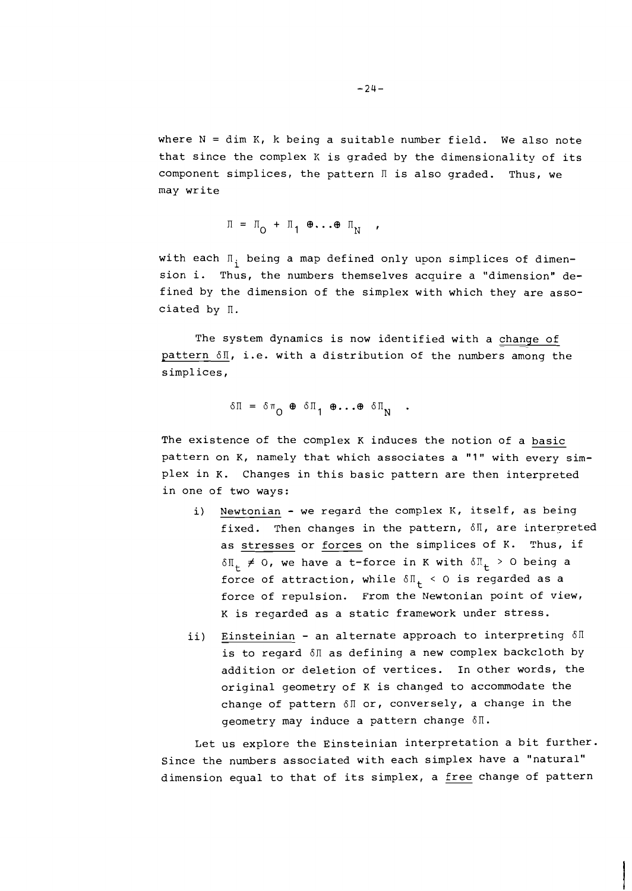where  $N = dim K$ , k being a suitable number field. We also note that since the complex **K** is graded by the dimensionality of its component simplices, the pattern  $\mathbb I$  is also graded. Thus, we may write

$$
\Pi = \Pi_{\mathbf{O}} + \Pi_{\mathbf{1}} \oplus \ldots \oplus \Pi_{\mathbf{N}} ,
$$

with each  $\Pi_i$  being a map defined only upon simplices of dimension i. Thus, the numbers themselves acquire a "dimension" defined by the dimension of the simplex with which they are associated by n.

The system dynamics is now identified with a change of pattern  $\delta \mathbb{I}$ , i.e. with a distribution of the numbers among the simplices,

$$
\delta \Pi = \delta \pi_{\mathbf{O}} \oplus \delta \Pi_{1} \oplus \ldots \oplus \delta \Pi_{\mathbf{N}} \quad .
$$

The existence of the complex K induces the notion of a basic pattern on K, namely that which associates a "1" with every simplex in K. Changes in this basic pattern are then interpreted in one of two ways:

- i) Newtonian we regard the complex K, itself, as being fixed. Then changes in the pattern,  $\delta \mathbb{I}$ , are interpreted as stresses or forces on the simplices of K. Thus, if  $\delta \Pi_{+} \neq 0$ , we have a t-force in K with  $\delta \Pi_{+} > 0$  being a force of attraction, while  $\delta \mathbb{I}_{+}$  < 0 is regarded as a force of repulsion. From the Newtonian point of view, K is regarded as a static framework under stress.
- ii) Einsteinian an alternate approach to interpreting  $\delta \Pi$ is to regard 6n as defining a new complex backcloth by addition or deletion of vertices. In other words, the original geometry of K is changed to accommodate the change of pattern  $\delta \mathbb{I}$  or, conversely, a change in the geometry may induce a pattern change  $\delta\mathbb{I}$ .

Let us explore the Einsteinian interpretation a bit further. Since the numbers associated with each simplex have a "natural" dimension equal to that of its simplex, a free change of pattern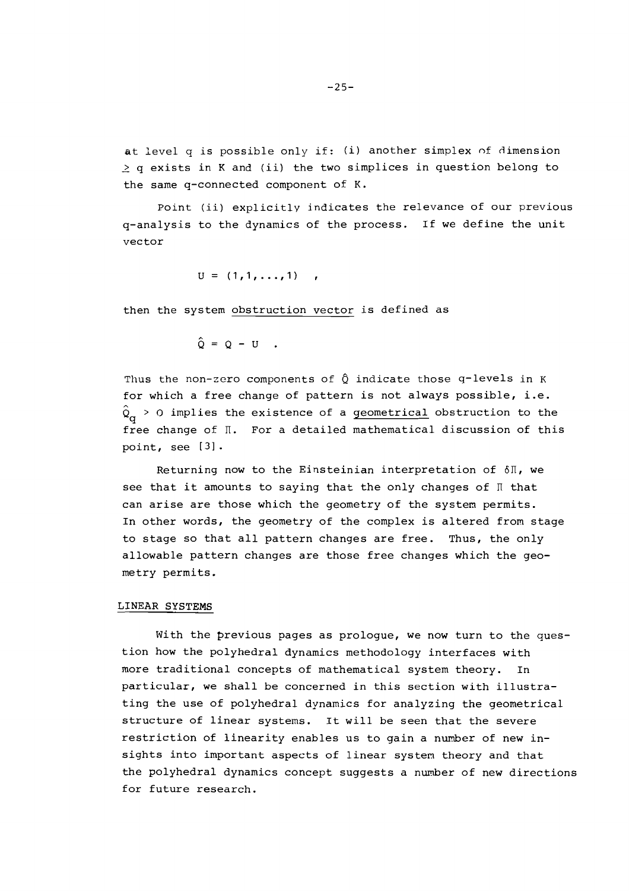at level q is possible only if: (i) another simplex of dimension  $\geq$  q exists in K and (ii) the two simplices in question belong to the same q-connected component of K.

Point (ii) explicitly indicates the relevance of our previous q-analysis to the dynamics of the process. If we define the unit vector

 $U = (1, 1, ..., 1)$ ,

then the system obstruction vector is defined as

 $\hat{O} = O - U$ .

Thus the non-zero components of  $\hat{Q}$  indicate those q-levels in K for which a free change of pattern is not always possible, i.e.  $\hat{Q}_{\alpha}$  > 0 implies the existence of a geometrical obstruction to the free change of  $\Pi$ . For a detailed mathematical discussion of this point, see [31 -

Returning now to the Einsteinian interpretation of  $\delta \mathbb{I}$ , we see that it amounts to saying that the only changes of  $\mathbb I$  that can arise are those which the geometry of the system permits. In other words, the geometry of the complex is altered from stage to stage so that all pattern changes are free. Thus, the only allowable pattern changes are those free changes which the geometry permits.

#### LINEAR SYSTEMS

With the previous pages as prologue, we now turn to the question how the polyhedral dynamics methodology interfaces with more traditional concepts of mathematical system theory. In particular, we shall be concerned in this section with illustrating the use of polyhedral dynamics for analyzing the geometrical structure of linear systems. It will be seen that the severe restriction of linearity enables us to gain a number of new insights into important aspects of linear system theory and that the polyhedral dynamics concept suggests a number of new directions for future research.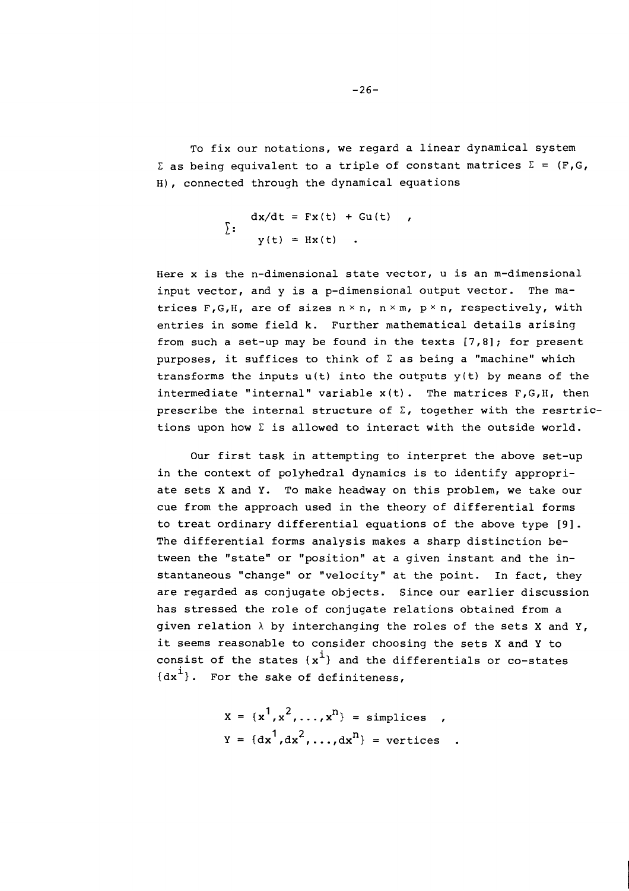To fix our notations, we regard a linear dynamical system  $\Sigma$  as being equivalent to a triple of constant matrices  $\Sigma = (\mathbf{F,G}, \mathbf{G})$ H), connected through the dynamical equations

$$
\sum_{y(t)} \frac{dx}{dt} = Fx(t) + Gu(t),
$$
  
 
$$
y(t) = Hx(t).
$$

Here x is the n-dimensional state vector, u is an m-dimensional input vector, and y is a p-dimensional output vector. The matrices F, G, H, are of sizes  $n \times n$ ,  $n \times m$ ,  $p \times n$ , respectively, with entries in some field k. Further mathematical details arising from such a set-up may be found in the texts [7,8]; for present purposes, it suffices to think of  $\Sigma$  as being a "machine" which transforms the inputs  $u(t)$  into the outputs  $y(t)$  by means of the intermediate "internal" variable  $x(t)$ . The matrices  $F, G, H$ , then prescribe the internal structure of  $\Sigma$ , together with the resrtrictions upon how  $\Sigma$  is allowed to interact with the outside world.

Our first task in attempting to interpret the above set-up in the context of polyhedral dynamics is to identify appropriate sets X and Y. To make headway on this problem, we take our cue from the approach used in the theory of differential forms to treat ordinary differential equations of the above type [91. The differential forms analysis makes a sharp distinction between the "state" or "position" at a given instant and the instantaneous "change" or "velocity" at the point. In fact, they are regarded as conjugate objects. Since our earlier discussion has stressed the role of conjugate relations obtained from a given relation  $\lambda$  by interchanging the roles of the sets X and Y, it seems reasonable to consider choosing the sets X and **Y** to consist of the states  $\{x^i\}$  and the differentials or co-states  ${dx<sup>1</sup>}.$  For the sake of definiteness,

$$
x = {x1, x2, ..., xn} = \text{simplices} ,
$$
  

$$
y = {dx1, dx2, ..., dxn} = \text{vertices} .
$$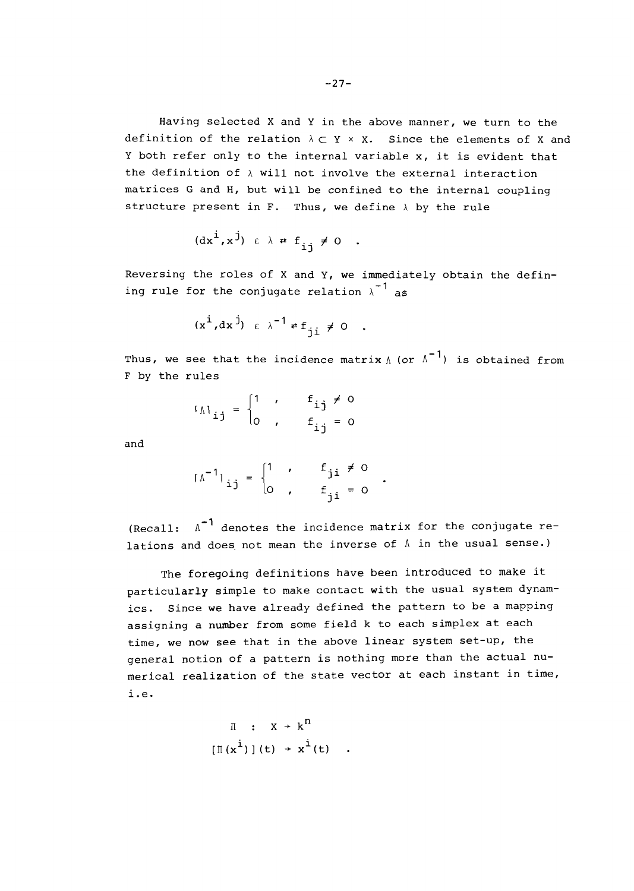Having selected X and Y in the above manner, we turn to the definition of the relation  $\lambda \subset Y \times X$ . Since the elements of X and Y both refer only to the internal variable x, it is evident that the definition of  $\lambda$  will not involve the external interaction matrices G and H, but will be confined to the internal coupling structure present in  $F$ . Thus, we define  $\lambda$  by the rule

$$
(\mathrm{d} x^i, x^j) \varepsilon \lambda \cdot f_{ij} \neq 0 .
$$

Reversing the roles of X and **Y,** we immediately obtain the defining rule for the conjugate relation  $\lambda^{-1}$  as

$$
(\mathbf{x}^{\mathbf{i}}, \mathbf{d}\mathbf{x}^{\mathbf{j}}) \ \epsilon \ \lambda^{-1} \neq \mathbf{f}_{\mathbf{j}\mathbf{i}} \neq 0
$$

Thus, we see that the incidence matrix  $\Lambda$  (or  $\Lambda^{-1}$ ) is obtained from F by the rules

$$
I_{\Lambda i,j} = \begin{cases} 1 & , & \mathbf{f}_{ij} \neq 0 \\ 0 & , & \mathbf{f}_{ij} = 0 \end{cases}
$$

and

$$
\left[\begin{matrix} \Lambda^{-1} \\ i \end{matrix}\right]_{ij} = \begin{cases} 1 & , & f_{ji} \neq 0 \\ 0 & , & f_{ji} = 0 \end{cases}
$$

(Recall:  $\Lambda^{-1}$  denotes the incidence matrix for the conjugate relations and does not mean the inverse of  $\Lambda$  in the usual sense.)

The foregoing definitions have been introduced to make it particularly simple to make contact with the usual system dynamics. Since we have already defined the pattern to be a mapping assigning a number from some field k to each simplex at each time, we now see that in the above linear system set-up, the general notion of a pattern is nothing more than the actual numerical realization of the state vector at each instant in time, i.e.

$$
\begin{array}{rcl} \n\mathbb{I} & : & X \to k^{\mathsf{n}} \\ \n\left[ \mathbb{I} \left( x^{\mathsf{i}} \right) \right] (t) & \to \mathbb{I}^{\mathsf{i}} (t) \n\end{array}
$$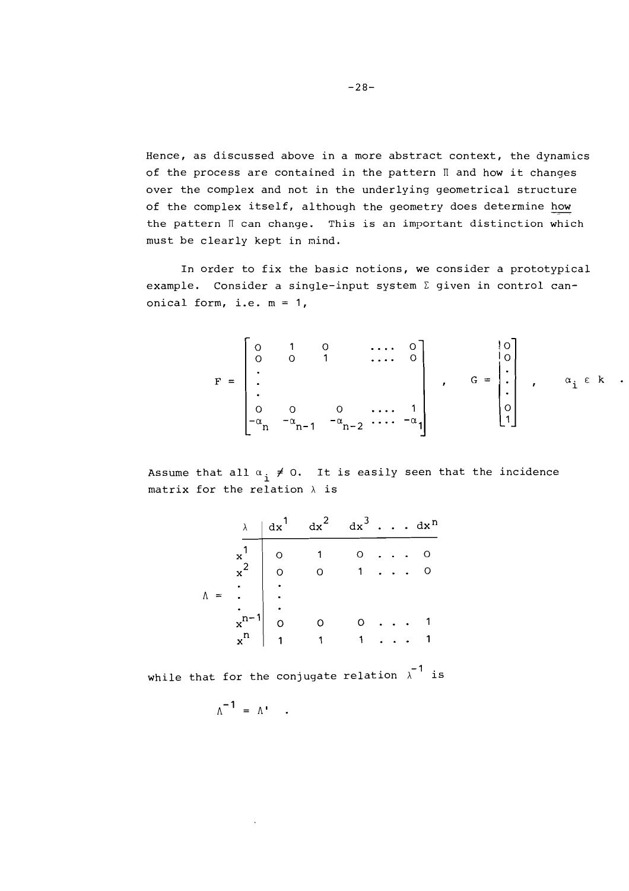Hence, as discussed above in a more abstract context, the dynamics of the process are contained in the pattern  $\mathbb I$  and how it changes over the complex and not in the underlying geometrical structure of the complex itself, although the geometry does determine how the pattern  $\mathbb I$  can change. This is an important distinction which must be clearly kept in mind.

In order to fix the basic notions, we consider a prototypical example. Consider a single-input system  $\Sigma$  given in control canonical form, i.e.  $m = 1$ ,

$$
F = \begin{bmatrix} 0 & 1 & 0 & \cdots & 0 \\ 0 & 0 & 1 & \cdots & 0 \\ \vdots & & & & \\ 0 & 0 & 0 & \cdots & 1 \\ -\alpha_{n} & -\alpha_{n-1} & -\alpha_{n-2} & \cdots & -\alpha_{1} \end{bmatrix}, \quad G = \begin{bmatrix} 0 \\ 0 \\ \vdots \\ 0 \\ 1 \end{bmatrix}, \quad \alpha_{i} \in k
$$

Assume that all  $\alpha_i \neq 0$ . It is easily seen that the incidence matrix for the relation *h* is

|    |  | $\lambda$   dx <sup>1</sup> dx <sup>2</sup> dx <sup>3</sup> dx <sup>n</sup>               |  |  |  |
|----|--|-------------------------------------------------------------------------------------------|--|--|--|
|    |  | $x^1$ 0 1 0 0<br>$x^2$ 0 0 1 0<br>= .<br>$\therefore$<br>$x^{n-1}$ 0 0 0 1<br>$x^n$ 1 1 1 |  |  |  |
|    |  |                                                                                           |  |  |  |
|    |  |                                                                                           |  |  |  |
| N. |  |                                                                                           |  |  |  |
|    |  |                                                                                           |  |  |  |
|    |  |                                                                                           |  |  |  |
|    |  |                                                                                           |  |  |  |

while that for the conjugate relation  $\lambda$ <sup>-1</sup> is

$$
\Lambda^{-1} = \Lambda^{\bullet} \quad .
$$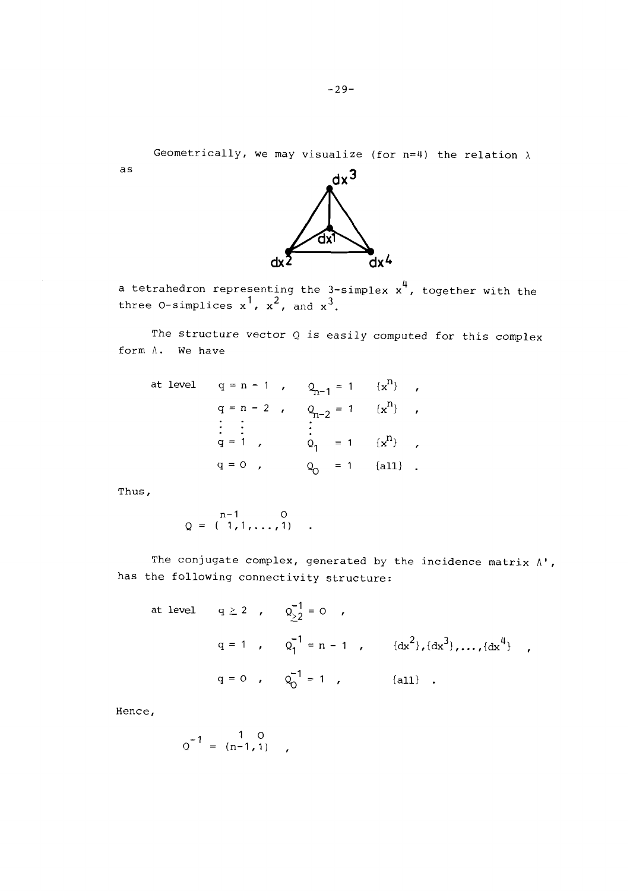Geometrically, we may visualize (for n=4) the relation  $\lambda$ 



a tetrahedron representing the 3-simplex  $x^4$ , together with the three 0-simplices  $x^1$ ,  $x^2$ , and  $x^3$ .

The structure vector  $Q$  is easily computed for this complex form A. We have

at level q = n - 1 , ?I-, <sup>=</sup>1 1x9 , *<sup>g</sup>*= n - 2 , Qn-, = 1 (xn} , . . . . . . ¶=I , Q, = 1 {xn) ,

Thus,

as

$$
Q = \begin{pmatrix} n-1 & 0 \\ 1, 1, ..., 1 \end{pmatrix}
$$

The conjugate complex, generated by the incidence matrix  $\Lambda$ ', has the following connectivity structure:

at level 
$$
q \ge 2
$$
,  $Q_{\ge 2}^{-1} = 0$ ,  
 $q = 1$ ,  $Q_1^{-1} = n - 1$ ,  $\{dx^2\}, \{dx^3\}, \dots, \{dx^4\}$ ,  
 $q = 0$ ,  $Q_0^{-1} = 1$ ,  $\{all\}$ .

Hence,

$$
Q^{-1} = \begin{pmatrix} 1 & 0 \\ n-1 & 1 \end{pmatrix}
$$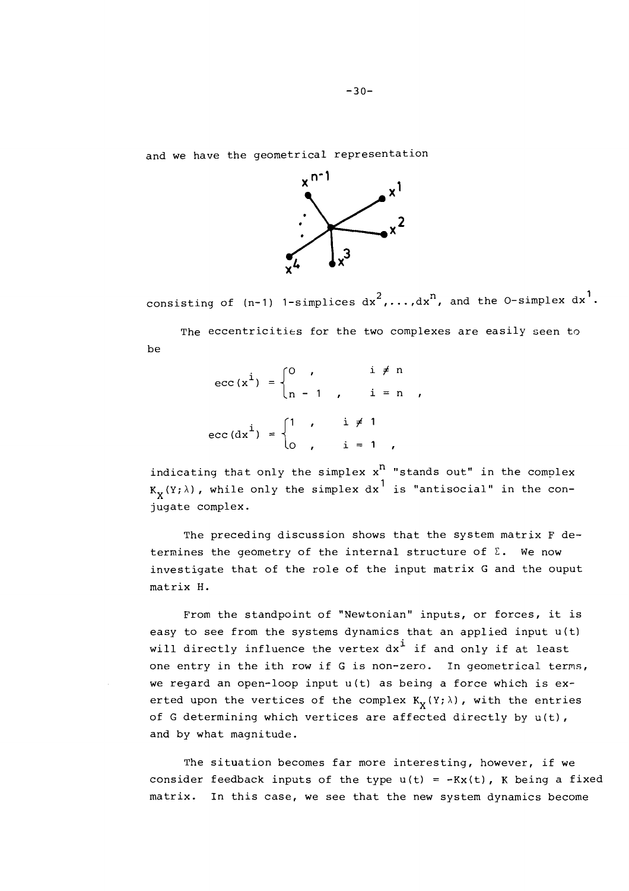and we have the geometrical representation



consisting of (n-1) 1-simplices  ${\rm d x}^2, \ldots, {\rm d x}^n,$  and the O-simplex  ${\rm d x}^1.$ 

The eccentricities for the two complexes are easily seen to be

$$
\text{ecc}(\mathbf{x}^{i}) = \begin{cases} 0 & , & i \neq n \\ n-1 & , & i = n \\ \text{ecc}(\mathbf{dx}^{i}) = \begin{cases} 1 & , & i \neq 1 \\ 0 & , & i = 1 \end{cases}, \end{cases}
$$

indicating that only the simplex  $x^n$  "stands out" in the complex  $K_{\mathbf{y}}(\Upsilon;\lambda)$ , while only the simplex dx<sup>1</sup> is "antisocial" in the conjugate complex.

The preceding discussion shows that the system matrix F determines the geometry of the internal structure of  $\Sigma$ . We now investigate that of the role of the input matrix G and the ouput matrix H.

From the standpoint of "Newtonian" inputs, or forces, it is easy to see from the systems dynamics that an applied input  $u(t)$ will directly influence the vertex  $dx^i$  if and only if at least one entry in the ith row if G is non-zero. In geometrical terms, we regard an open-loop input u(t) as being a force which is exerted upon the vertices of the complex  $K_{\mathbf{v}}(Y; \lambda)$ , with the entries of G determining which vertices are affected directly by u(t), and by what magnitude.

The situation becomes far more interesting, however, if we consider feedback inputs of the type  $u(t) = -Kx(t)$ , K being a fixed matrix. In this case, we see that the new system dynamics become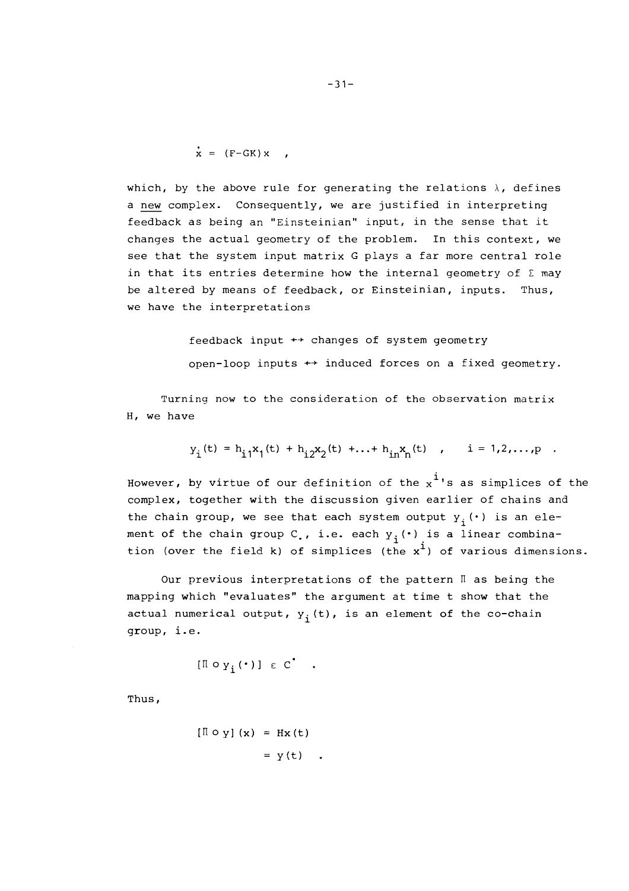$$
\dot{\mathbf{x}} = (\mathbf{F} - \mathbf{G}\mathbf{K}) \mathbf{x}
$$

which, by the above rule for generating the relations  $\lambda$ , defines a new complex. Consequently, we are justified in interpreting feedback as being an "Einsteinian" input, in the sense that it changes the actual geometry of the problem. In this context, we see that the system input matrix G plays a far more central role in that its entries determine how the internal geometry of  $\Sigma$  may be altered by means of feedback, or Einsteinian, inputs. Thus, we have the interpretations

> feedback input  $\leftrightarrow$  changes of system geometry open-loop inputs  $\leftrightarrow$  induced forces on a fixed geometry.

Turning now to the consideration of the observation matrix H, we have

$$
y_{i}(t) = h_{i1}x_{1}(t) + h_{i2}x_{2}(t) + ... + h_{in}x_{n}(t) , i = 1,2,...,p
$$

However, by virtue of our definition of the  $x^i$ 's as simplices of the complex, together with the discussion given earlier of chains and the chain group, we see that each system output  $y_i(\cdot)$  is an element of the chain group C<sub>.</sub>, i.e. each  $y_i$  ( $\cdot$ ) is a linear combination (over the field k) of simplices (the x<sup>1</sup>) of various dimensions.

Our previous interpretations of the pattern  $\mathbb I$  as being the mapping which "evaluates" the argument at time t show that the actual numerical output,  $y_i(t)$ , is an element of the co-chain group, i.e.

$$
[\mathbb{I} \circ \mathsf{y}, (\cdot)] \in \mathsf{C}^{\bullet}
$$

Thus,

$$
[\mathbb{I} \circ \mathbf{y}] (\mathbf{x}) = \mathbf{H} \mathbf{x} (\mathbf{t})
$$

$$
= \mathbf{y} (\mathbf{t})
$$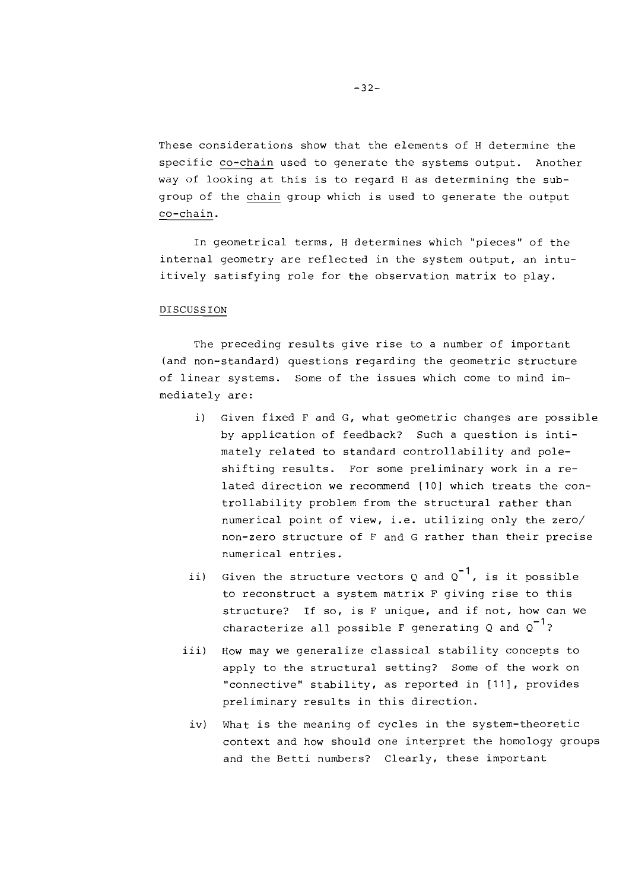These considerations show that the elements of H determine the specific co-chain used to generate the systems output. Another way of looking at this is to regard H as determining the subgroup of the chain group which is used to generate the output co-chain.

In geometrical terms, H determines which "pieces" of the internal geometry are reflected in the system output, an intuitively satisfying role for the observation matrix to play.

# DISCUSSION

The preceding results give rise to a number of important (and non-standard) questions regarding the geometric structure of linear systems. Some of the issues which come to mind immediately are:

- i) Given fixed F and G, what geometric changes are possible by application of feedback? Such a question is intimately related to standard controllability and poleshifting results. For some preliminary work in a related direction we recommend **[lo]** which treats the controllability problem from the structural rather than numerical point of view, i.e. utilizing only the zero/ non-zero structure of F and G rather than their precise numerical entries.
- ii) Given the structure vectors Q and  $Q^{-1}$ , is it possible to reconstruct a system matrix F giving rise to this structure? If so, is F unique, and if not, how can we characterize all possible F generating Q and  $0^{-1}$ ?
- iii) How may we generalize classical stability concepts to apply to the structural setting? Some of the work on "connective" stability, as reported in **[Ill,** provides preliminary results in this direction.
	- iv) What is the meaning of cycles in the system-theoretic context and how should one interpret the homology groups and the Betti numbers? Clearly, these important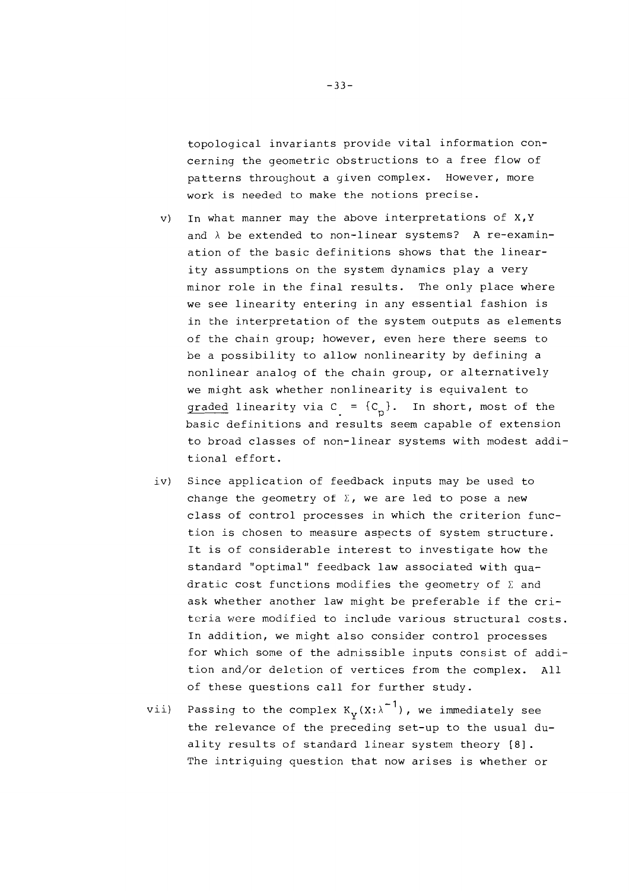topological invariants provide vital information concerning the geometric obstructions to a free flow of patterns throughout a given complex. However, more work is needed to make the notions precise.

- V) In what manner may the above interpretations of X,Y and  $\lambda$  be extended to non-linear systems? A re-examination of the basic definitions shows that the linearity assumptions on the system dynamics play a very minor role in the final results. The only place where we see linearity entering in any essential fashion is in the interpretation of the system outputs as elements of the chain group; however, even here there seems to be a possibility to allow nonlinearity by defining a nonlinear analog of the chain group, or alternatively we might ask whether nonlinearity is equivalent to graded linearity via  $C = {C_n}$ . In short, most of the basic definitions and results seem capable of extension to broad classes of non-linear systems with modest additional effort.
- iv) Since application of feedback inputs may be used to change the geometry of  $\Sigma$ , we are led to pose a new class of control processes in which the criterion function is chosen to measure aspects of system structure. It is of considerable interest to investigate how the standard "optimal" feedback law associated with quadratic cost functions modifies the geometry of  $\Sigma$  and ask whether another law might be preferable if the criteria were modified to include various structural costs. In addition, we might also consider control processes for which some of the adnissible inputs consist of addition and/or deletion of vertices from the complex. All of these questions call for further study.
- vii) Passing to the complex  $K_v(X; \lambda^{-1})$ , we immediately see the relevance of the preceding set-up to the usual duality results of standard linear system theory [8]. The intriguing question that now arises is whether or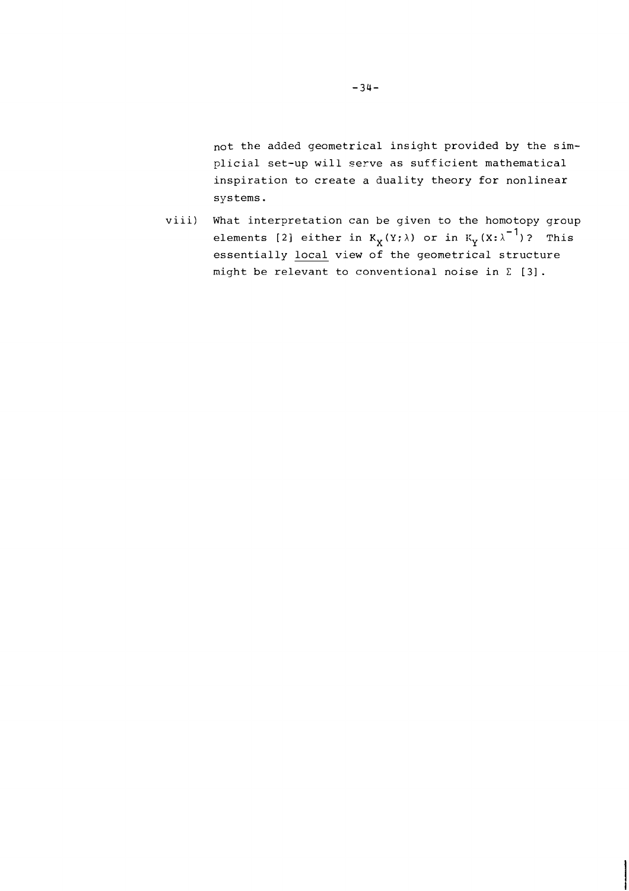not the added geometrical insight provided by the simplicial set-up will serve as sufficient mathematical inspiration to create a duality theory for nonlinear systems.

viii) What interpretation can be given to the homotopy group elements [2] either in  $K_X(Y; \lambda)$  or in  $K_Y(X; \lambda^{-1})$ ? This essentially local view of the geometrical structure night be relevant to conventional noise in C *[3].*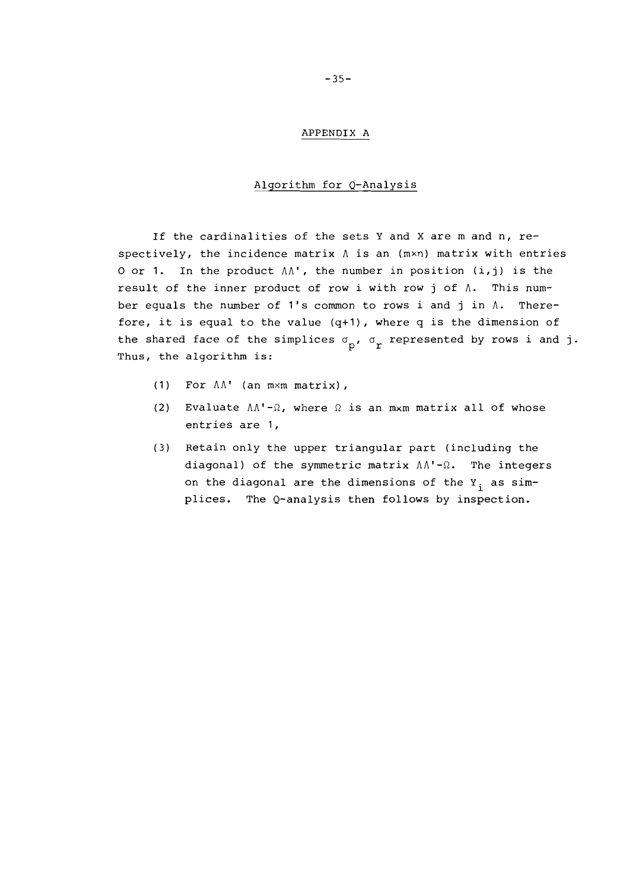#### APPENDIX A

## Algorithm for Q-Analysis

If the cardinalities of the sets Y and X are m and n, respectively, the incidence matrix  $\Lambda$  is an  $(m \times n)$  matrix with entries 0 or 1. In the product  $\Lambda\Lambda'$ , the number in position (i,j) is the result of the inner product of row i with row **j** of A. This number equals the number of 1's common to rows i and j in  $\Lambda$ . Therefore, it is equal to the value  $(q+1)$ , where q is the dimension of the shared face of the simplices  $\sigma_{\mathbf{p}}$ ,  $\sigma_{\mathbf{r}}$  represented by rows i and j.<br>Thus, the algorithm is:

- (1) For  $\Lambda\Lambda^*$  (an  $m \times m$  matrix),
- (2) Evaluate  $\Lambda\Lambda'$ - $\Omega$ , where  $\Omega$  is an mxm matrix all of whose entries are 1,
- (3) Retain only the upper triangular part (including the diagonal) of the symmetric matrix  $\Lambda\Lambda'$ - $\Omega$ . The integers on the diagonal are the dimensions of the  $Y_i$  as simplices. The Q-analysis then follows by inspection.